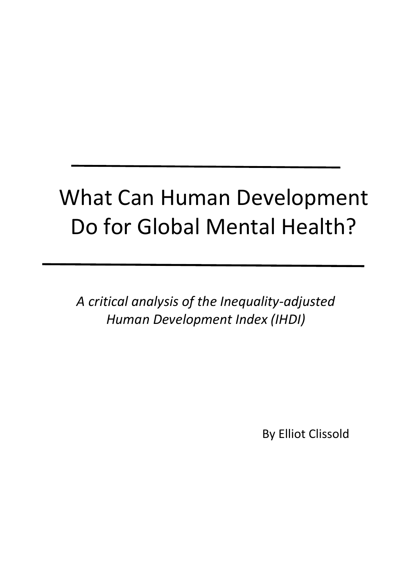# What Can Human Development Do for Global Mental Health?

*A critical analysis of the Inequality-adjusted Human Development Index (IHDI)*

By Elliot Clissold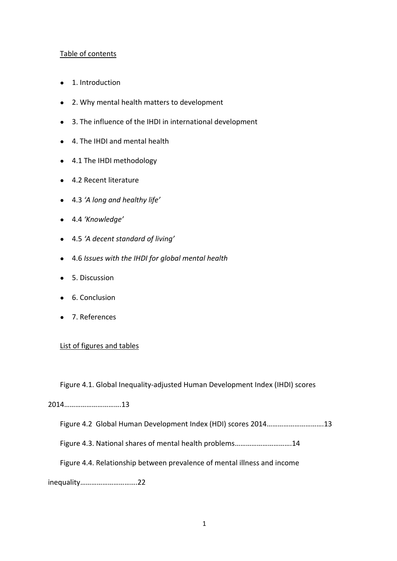## Table of contents

- 1. Introduction
- 2. Why mental health matters to development
- 3. The influence of the IHDI in international development
- 4. The IHDI and mental health
- 4.1 The IHDI methodology
- 4.2 Recent literature
- 4.3 *'A long and healthy life'*
- 4.4 *'Knowledge'*
- 4.5 *'A decent standard of living'*
- 4.6 *Issues with the IHDI for global mental health*
- 5. Discussion
- 6. Conclusion
- 7. References

## List of figures and tables

Figure 4.1. Global Inequality-adjusted Human Development Index (IHDI) scores

# 2014………………………….13

Figure 4.2 Global Human Development Index (HDI) scores 2014………………………….13

Figure 4.3. National shares of mental health problems………………………….14

Figure 4.4. Relationship between prevalence of mental illness and income

inequality………………………….22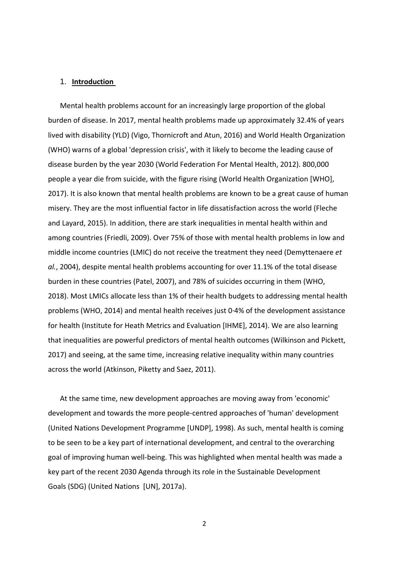#### 1. **Introduction**

Mental health problems account for an increasingly large proportion of the global burden of disease. In 2017, mental health problems made up approximately 32.4% of years lived with disability (YLD) (Vigo, Thornicroft and Atun, 2016) and World Health Organization (WHO) warns of a global 'depression crisis', with it likely to become the leading cause of disease burden by the year 2030 (World Federation For Mental Health, 2012). 800,000 people a year die from suicide, with the figure rising (World Health Organization [WHO], 2017). It is also known that mental health problems are known to be a great cause of human misery. They are the most influential factor in life dissatisfaction across the world (Fleche and Layard, 2015). In addition, there are stark inequalities in mental health within and among countries (Friedli, 2009). Over 75% of those with mental health problems in low and middle income countries (LMIC) do not receive the treatment they need (Demyttenaere *et al.*, 2004), despite mental health problems accounting for over 11.1% of the total disease burden in these countries (Patel, 2007), and 78% of suicides occurring in them (WHO, 2018). Most LMICs allocate less than 1% of their health budgets to addressing mental health problems (WHO, 2014) and mental health receives just 0·4% of the development assistance for health (Institute for Heath Metrics and Evaluation [IHME], 2014). We are also learning that inequalities are powerful predictors of mental health outcomes (Wilkinson and Pickett, 2017) and seeing, at the same time, increasing relative inequality within many countries across the world (Atkinson, Piketty and Saez, 2011).

At the same time, new development approaches are moving away from 'economic' development and towards the more people-centred approaches of 'human' development (United Nations Development Programme [UNDP], 1998). As such, mental health is coming to be seen to be a key part of international development, and central to the overarching goal of improving human well-being. This was highlighted when mental health was made a key part of the recent 2030 Agenda through its role in the Sustainable Development Goals (SDG) (United Nations [UN], 2017a).

 $\overline{2}$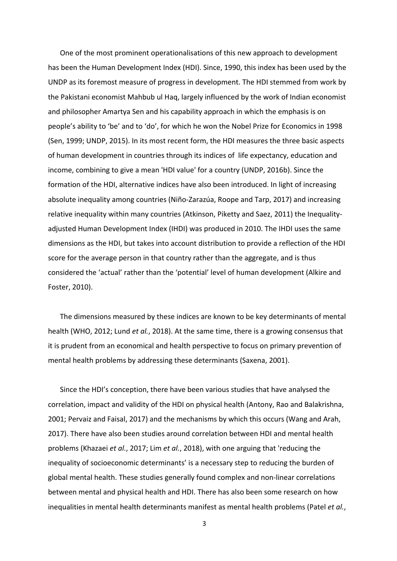One of the most prominent operationalisations of this new approach to development has been the Human Development Index (HDI). Since, 1990, this index has been used by the UNDP as its foremost measure of progress in development. The HDI stemmed from work by the Pakistani economist Mahbub ul Haq, largely influenced by the work of Indian economist and philosopher Amartya Sen and his capability approach in which the emphasis is on people's ability to 'be' and to 'do', for which he won the Nobel Prize for Economics in 1998 (Sen, 1999; UNDP, 2015). In its most recent form, the HDI measures the three basic aspects of human development in countries through its indices of life expectancy, education and income, combining to give a mean 'HDI value' for a country (UNDP, 2016b). Since the formation of the HDI, alternative indices have also been introduced. In light of increasing absolute inequality among countries (Niño-Zarazúa, Roope and Tarp, 2017) and increasing relative inequality within many countries (Atkinson, Piketty and Saez, 2011) the Inequalityadjusted Human Development Index (IHDI) was produced in 2010. The IHDI uses the same dimensions as the HDI, but takes into account distribution to provide a reflection of the HDI score for the average person in that country rather than the aggregate, and is thus considered the 'actual' rather than the 'potential' level of human development (Alkire and Foster, 2010).

The dimensions measured by these indices are known to be key determinants of mental health (WHO, 2012; Lund *et al.*, 2018). At the same time, there is a growing consensus that it is prudent from an economical and health perspective to focus on primary prevention of mental health problems by addressing these determinants (Saxena, 2001).

Since the HDI's conception, there have been various studies that have analysed the correlation, impact and validity of the HDI on physical health (Antony, Rao and Balakrishna, 2001; Pervaiz and Faisal, 2017) and the mechanisms by which this occurs (Wang and Arah, 2017). There have also been studies around correlation between HDI and mental health problems (Khazaei *et al.*, 2017; Lim *et al.*, 2018), with one arguing that 'reducing the inequality of socioeconomic determinants' is a necessary step to reducing the burden of global mental health. These studies generally found complex and non-linear correlations between mental and physical health and HDI. There has also been some research on how inequalities in mental health determinants manifest as mental health problems (Patel *et al.*,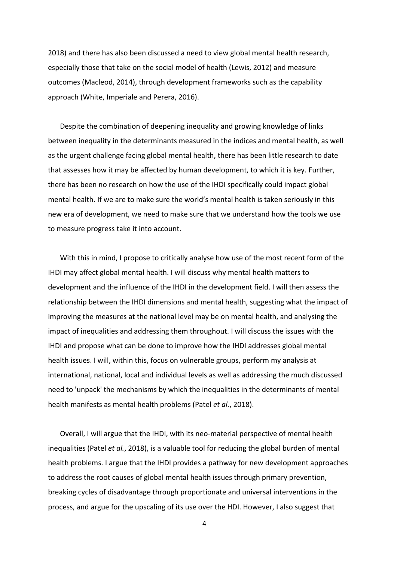2018) and there has also been discussed a need to view global mental health research, especially those that take on the social model of health (Lewis, 2012) and measure outcomes (Macleod, 2014), through development frameworks such as the capability approach (White, Imperiale and Perera, 2016).

Despite the combination of deepening inequality and growing knowledge of links between inequality in the determinants measured in the indices and mental health, as well as the urgent challenge facing global mental health, there has been little research to date that assesses how it may be affected by human development, to which it is key. Further, there has been no research on how the use of the IHDI specifically could impact global mental health. If we are to make sure the world's mental health is taken seriously in this new era of development, we need to make sure that we understand how the tools we use to measure progress take it into account.

With this in mind, I propose to critically analyse how use of the most recent form of the IHDI may affect global mental health. I will discuss why mental health matters to development and the influence of the IHDI in the development field. I will then assess the relationship between the IHDI dimensions and mental health, suggesting what the impact of improving the measures at the national level may be on mental health, and analysing the impact of inequalities and addressing them throughout. I will discuss the issues with the IHDI and propose what can be done to improve how the IHDI addresses global mental health issues. I will, within this, focus on vulnerable groups, perform my analysis at international, national, local and individual levels as well as addressing the much discussed need to 'unpack' the mechanisms by which the inequalities in the determinants of mental health manifests as mental health problems (Patel *et al.*, 2018).

Overall, I will argue that the IHDI, with its neo-material perspective of mental health inequalities (Patel *et al.*, 2018), is a valuable tool for reducing the global burden of mental health problems. I argue that the IHDI provides a pathway for new development approaches to address the root causes of global mental health issues through primary prevention, breaking cycles of disadvantage through proportionate and universal interventions in the process, and argue for the upscaling of its use over the HDI. However, I also suggest that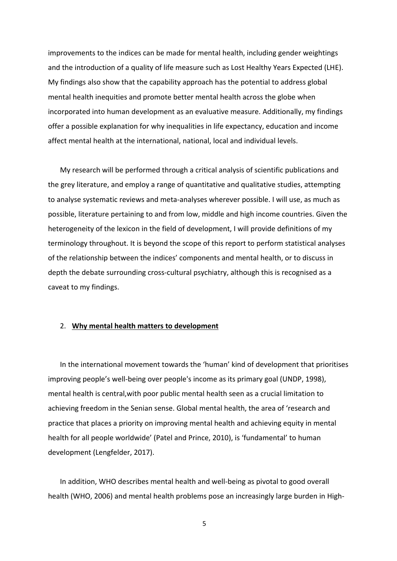improvements to the indices can be made for mental health, including gender weightings and the introduction of a quality of life measure such as Lost Healthy Years Expected (LHE). My findings also show that the capability approach has the potential to address global mental health inequities and promote better mental health across the globe when incorporated into human development as an evaluative measure. Additionally, my findings offer a possible explanation for why inequalities in life expectancy, education and income affect mental health at the international, national, local and individual levels.

My research will be performed through a critical analysis of scientific publications and the grey literature, and employ a range of quantitative and qualitative studies, attempting to analyse systematic reviews and meta-analyses wherever possible. I will use, as much as possible, literature pertaining to and from low, middle and high income countries. Given the heterogeneity of the lexicon in the field of development, I will provide definitions of my terminology throughout. It is beyond the scope of this report to perform statistical analyses of the relationship between the indices' components and mental health, or to discuss in depth the debate surrounding cross-cultural psychiatry, although this is recognised as a caveat to my findings.

## 2. **Why mental health matters to development**

In the international movement towards the 'human' kind of development that prioritises improving people's well-being over people's income as its primary goal (UNDP, 1998), mental health is central,with poor public mental health seen as a crucial limitation to achieving freedom in the Senian sense. Global mental health, the area of 'research and practice that places a priority on improving mental health and achieving equity in mental health for all people worldwide' (Patel and Prince, 2010), is 'fundamental' to human development (Lengfelder, 2017).

In addition, WHO describes mental health and well-being as pivotal to good overall health (WHO, 2006) and mental health problems pose an increasingly large burden in High-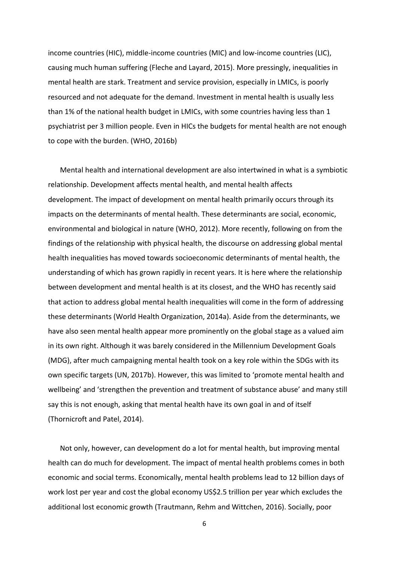income countries (HIC), middle-income countries (MIC) and low-income countries (LIC), causing much human suffering (Fleche and Layard, 2015). More pressingly, inequalities in mental health are stark. Treatment and service provision, especially in LMICs, is poorly resourced and not adequate for the demand. Investment in mental health is usually less than 1% of the national health budget in LMICs, with some countries having less than 1 psychiatrist per 3 million people. Even in HICs the budgets for mental health are not enough to cope with the burden. (WHO, 2016b)

Mental health and international development are also intertwined in what is a symbiotic relationship. Development affects mental health, and mental health affects development. The impact of development on mental health primarily occurs through its impacts on the determinants of mental health. These determinants are social, economic, environmental and biological in nature (WHO, 2012). More recently, following on from the findings of the relationship with physical health, the discourse on addressing global mental health inequalities has moved towards socioeconomic determinants of mental health, the understanding of which has grown rapidly in recent years. It is here where the relationship between development and mental health is at its closest, and the WHO has recently said that action to address global mental health inequalities will come in the form of addressing these determinants (World Health Organization, 2014a). Aside from the determinants, we have also seen mental health appear more prominently on the global stage as a valued aim in its own right. Although it was barely considered in the Millennium Development Goals (MDG), after much campaigning mental health took on a key role within the SDGs with its own specific targets (UN, 2017b). However, this was limited to 'promote mental health and wellbeing' and 'strengthen the prevention and treatment of substance abuse' and many still say this is not enough, asking that mental health have its own goal in and of itself (Thornicroft and Patel, 2014).

Not only, however, can development do a lot for mental health, but improving mental health can do much for development. The impact of mental health problems comes in both economic and social terms. Economically, mental health problems lead to 12 billion days of work lost per year and cost the global economy US\$2.5 trillion per year which excludes the additional lost economic growth (Trautmann, Rehm and Wittchen, 2016). Socially, poor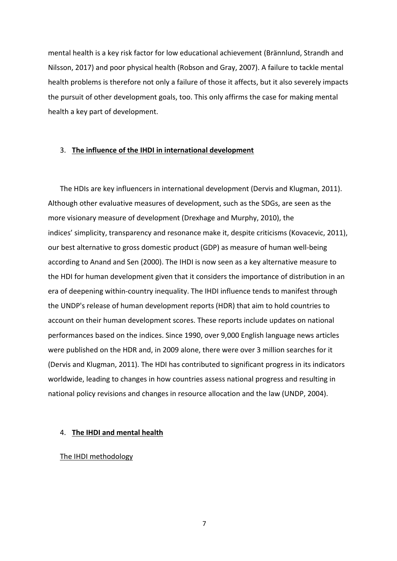mental health is a key risk factor for low educational achievement (Brännlund, Strandh and Nilsson, 2017) and poor physical health (Robson and Gray, 2007). A failure to tackle mental health problems is therefore not only a failure of those it affects, but it also severely impacts the pursuit of other development goals, too. This only affirms the case for making mental health a key part of development.

## 3. **The influence of the IHDI in international development**

The HDIs are key influencers in international development (Dervis and Klugman, 2011). Although other evaluative measures of development, such as the SDGs, are seen as the more visionary measure of development (Drexhage and Murphy, 2010), the indices' simplicity, transparency and resonance make it, despite criticisms (Kovacevic, 2011), our best alternative to gross domestic product (GDP) as measure of human well-being according to Anand and Sen (2000). The IHDI is now seen as a key alternative measure to the HDI for human development given that it considers the importance of distribution in an era of deepening within-country inequality. The IHDI influence tends to manifest through the UNDP's release of human development reports (HDR) that aim to hold countries to account on their human development scores. These reports include updates on national performances based on the indices. Since 1990, over 9,000 English language news articles were published on the HDR and, in 2009 alone, there were over 3 million searches for it (Dervis and Klugman, 2011). The HDI has contributed to significant progress in its indicators worldwide, leading to changes in how countries assess national progress and resulting in national policy revisions and changes in resource allocation and the law (UNDP, 2004).

#### 4. **The IHDI and mental health**

## The IHDI methodology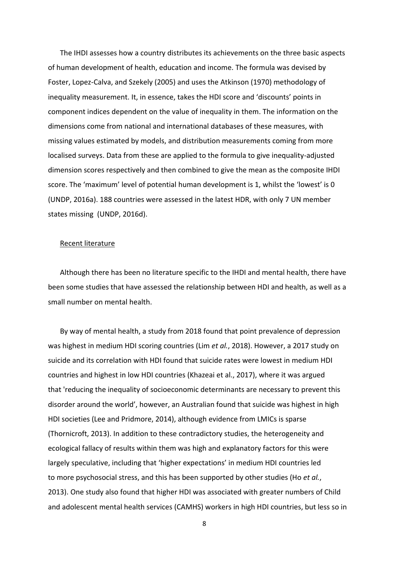The IHDI assesses how a country distributes its achievements on the three basic aspects of human development of health, education and income. The formula was devised by Foster, Lopez-Calva, and Szekely (2005) and uses the Atkinson (1970) methodology of inequality measurement. It, in essence, takes the HDI score and 'discounts' points in component indices dependent on the value of inequality in them. The information on the dimensions come from national and international databases of these measures, with missing values estimated by models, and distribution measurements coming from more localised surveys. Data from these are applied to the formula to give inequality-adjusted dimension scores respectively and then combined to give the mean as the composite IHDI score. The 'maximum' level of potential human development is 1, whilst the 'lowest' is 0 (UNDP, 2016a). 188 countries were assessed in the latest HDR, with only 7 UN member states missing (UNDP, 2016d).

## Recent literature

Although there has been no literature specific to the IHDI and mental health, there have been some studies that have assessed the relationship between HDI and health, as well as a small number on mental health.

By way of mental health, a study from 2018 found that point prevalence of depression was highest in medium HDI scoring countries (Lim *et al.*, 2018). However, a 2017 study on suicide and its correlation with HDI found that suicide rates were lowest in medium HDI countries and highest in low HDI countries (Khazeai et al., 2017), where it was argued that 'reducing the inequality of socioeconomic determinants are necessary to prevent this disorder around the world', however, an Australian found that suicide was highest in high HDI societies (Lee and Pridmore, 2014), although evidence from LMICs is sparse (Thornicroft, 2013). In addition to these contradictory studies, the heterogeneity and ecological fallacy of results within them was high and explanatory factors for this were largely speculative, including that 'higher expectations' in medium HDI countries led to more psychosocial stress, and this has been supported by other studies (Ho *et al.*, 2013). One study also found that higher HDI was associated with greater numbers of Child and adolescent mental health services (CAMHS) workers in high HDI countries, but less so in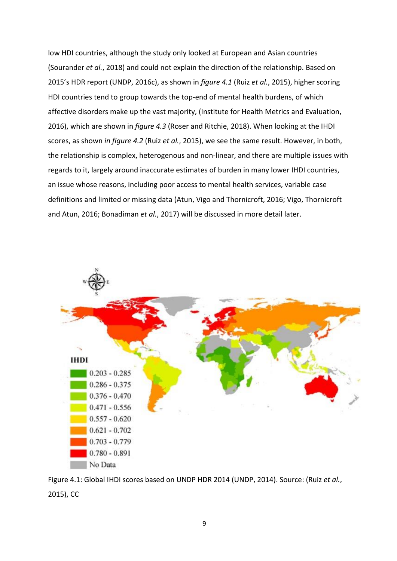low HDI countries, although the study only looked at European and Asian countries (Sourander *et al.*, 2018) and could not explain the direction of the relationship. Based on 2015's HDR report (UNDP, 2016c), as shown in *figure 4.1* (Ruiz *et al.*, 2015), higher scoring HDI countries tend to group towards the top-end of mental health burdens, of which affective disorders make up the vast majority, (Institute for Health Metrics and Evaluation, 2016), which are shown in *figure 4.3* (Roser and Ritchie, 2018). When looking at the IHDI scores, as shown *in figure 4.2* (Ruiz *et al.*, 2015), we see the same result. However, in both, the relationship is complex, heterogenous and non-linear, and there are multiple issues with regards to it, largely around inaccurate estimates of burden in many lower IHDI countries, an issue whose reasons, including poor access to mental health services, variable case definitions and limited or missing data (Atun, Vigo and Thornicroft, 2016; Vigo, Thornicroft and Atun, 2016; Bonadiman *et al.*, 2017) will be discussed in more detail later.



Figure 4.1: Global IHDI scores based on UNDP HDR 2014 (UNDP, 2014). Source: (Ruiz *et al.*, 2015), CC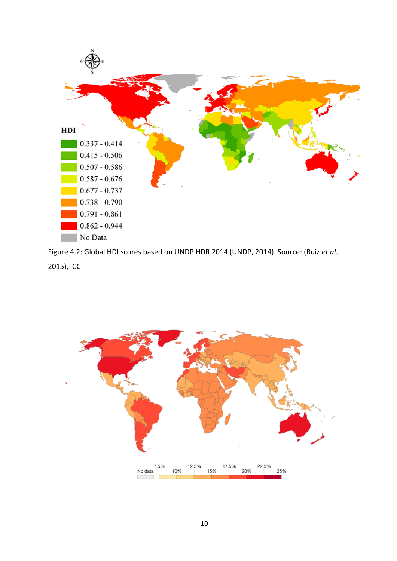

Figure 4.2: Global HDI scores based on UNDP HDR 2014 (UNDP, 2014). Source: (Ruiz *et al.*, 2015), CC

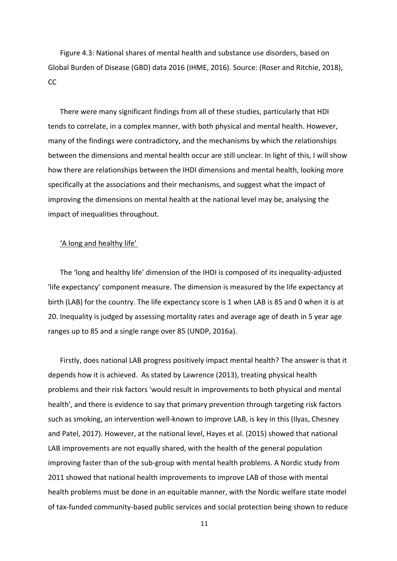Figure 4.3: National shares of mental health and substance use disorders, based on Global Burden of Disease (GBD) data 2016 (IHME, 2016). Source: (Roser and Ritchie, 2018), CC

There were many significant findings from all of these studies, particularly that HDI tends to correlate, in a complex manner, with both physical and mental health. However, many of the findings were contradictory, and the mechanisms by which the relationships between the dimensions and mental health occur are still unclear. In light of this, I will show how there are relationships between the IHDI dimensions and mental health, looking more specifically at the associations and their mechanisms, and suggest what the impact of improving the dimensions on mental health at the national level may be, analysing the impact of inequalities throughout.

## 'A long and healthy life'

The 'long and healthy life' dimension of the IHDI is composed of its inequality-adjusted 'life expectancy' component measure. The dimension is measured by the life expectancy at birth (LAB) for the country. The life expectancy score is 1 when LAB is 85 and 0 when it is at 20. Inequality is judged by assessing mortality rates and average age of death in 5 year age ranges up to 85 and a single range over 85 (UNDP, 2016a).

Firstly, does national LAB progress positively impact mental health? The answer is that it depends how it is achieved. As stated by Lawrence (2013), treating physical health problems and their risk factors 'would result in improvements to both physical and mental health', and there is evidence to say that primary prevention through targeting risk factors such as smoking, an intervention well-known to improve LAB, is key in this (Ilyas, Chesney and Patel, 2017). However, at the national level, Hayes et al. (2015) showed that national LAB improvements are not equally shared, with the health of the general population improving faster than of the sub-group with mental health problems. A Nordic study from 2011 showed that national health improvements to improve LAB of those with mental health problems must be done in an equitable manner, with the Nordic welfare state model of tax-funded community-based public services and social protection being shown to reduce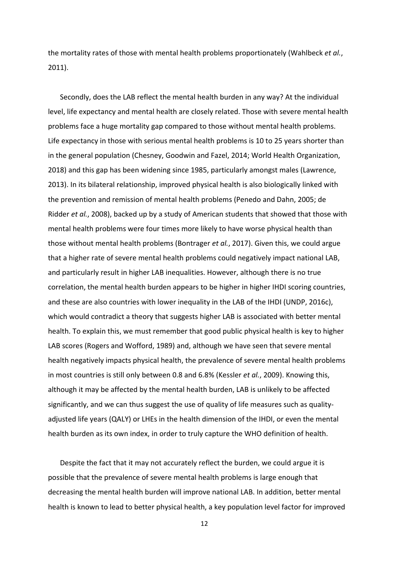the mortality rates of those with mental health problems proportionately (Wahlbeck *et al.*, 2011).

Secondly, does the LAB reflect the mental health burden in any way? At the individual level, life expectancy and mental health are closely related. Those with severe mental health problems face a huge mortality gap compared to those without mental health problems. Life expectancy in those with serious mental health problems is 10 to 25 years shorter than in the general population (Chesney, Goodwin and Fazel, 2014; World Health Organization, 2018) and this gap has been widening since 1985, particularly amongst males (Lawrence, 2013). In its bilateral relationship, improved physical health is also biologically linked with the prevention and remission of mental health problems (Penedo and Dahn, 2005; de Ridder *et al.*, 2008), backed up by a study of American students that showed that those with mental health problems were four times more likely to have worse physical health than those without mental health problems (Bontrager *et al.*, 2017). Given this, we could argue that a higher rate of severe mental health problems could negatively impact national LAB, and particularly result in higher LAB inequalities. However, although there is no true correlation, the mental health burden appears to be higher in higher IHDI scoring countries, and these are also countries with lower inequality in the LAB of the IHDI (UNDP, 2016c), which would contradict a theory that suggests higher LAB is associated with better mental health. To explain this, we must remember that good public physical health is key to higher LAB scores (Rogers and Wofford, 1989) and, although we have seen that severe mental health negatively impacts physical health, the prevalence of severe mental health problems in most countries is still only between 0.8 and 6.8% (Kessler *et al.*, 2009). Knowing this, although it may be affected by the mental health burden, LAB is unlikely to be affected significantly, and we can thus suggest the use of quality of life measures such as qualityadjusted life years (QALY) or LHEs in the health dimension of the IHDI, or even the mental health burden as its own index, in order to truly capture the WHO definition of health.

Despite the fact that it may not accurately reflect the burden, we could argue it is possible that the prevalence of severe mental health problems is large enough that decreasing the mental health burden will improve national LAB. In addition, better mental health is known to lead to better physical health, a key population level factor for improved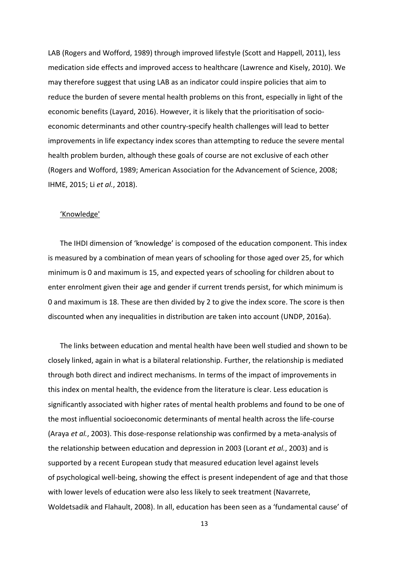LAB (Rogers and Wofford, 1989) through improved lifestyle (Scott and Happell, 2011), less medication side effects and improved access to healthcare (Lawrence and Kisely, 2010). We may therefore suggest that using LAB as an indicator could inspire policies that aim to reduce the burden of severe mental health problems on this front, especially in light of the economic benefits (Layard, 2016). However, it is likely that the prioritisation of socioeconomic determinants and other country-specify health challenges will lead to better improvements in life expectancy index scores than attempting to reduce the severe mental health problem burden, although these goals of course are not exclusive of each other (Rogers and Wofford, 1989; American Association for the Advancement of Science, 2008; IHME, 2015; Li *et al.*, 2018).

## 'Knowledge'

The IHDI dimension of 'knowledge' is composed of the education component. This index is measured by a combination of mean years of schooling for those aged over 25, for which minimum is 0 and maximum is 15, and expected years of schooling for children about to enter enrolment given their age and gender if current trends persist, for which minimum is 0 and maximum is 18. These are then divided by 2 to give the index score. The score is then discounted when any inequalities in distribution are taken into account (UNDP, 2016a).

The links between education and mental health have been well studied and shown to be closely linked, again in what is a bilateral relationship. Further, the relationship is mediated through both direct and indirect mechanisms. In terms of the impact of improvements in this index on mental health, the evidence from the literature is clear. Less education is significantly associated with higher rates of mental health problems and found to be one of the most influential socioeconomic determinants of mental health across the life-course (Araya *et al.*, 2003). This dose-response relationship was confirmed by a meta-analysis of the relationship between education and depression in 2003 (Lorant *et al.*, 2003) and is supported by a recent European study that measured education level against levels of psychological well-being, showing the effect is present independent of age and that those with lower levels of education were also less likely to seek treatment (Navarrete, Woldetsadik and Flahault, 2008). In all, education has been seen as a 'fundamental cause' of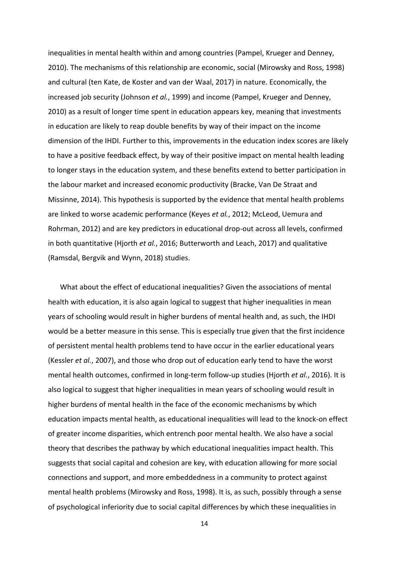inequalities in mental health within and among countries (Pampel, Krueger and Denney, 2010). The mechanisms of this relationship are economic, social (Mirowsky and Ross, 1998) and cultural (ten Kate, de Koster and van der Waal, 2017) in nature. Economically, the increased job security (Johnson *et al.*, 1999) and income (Pampel, Krueger and Denney, 2010) as a result of longer time spent in education appears key, meaning that investments in education are likely to reap double benefits by way of their impact on the income dimension of the IHDI. Further to this, improvements in the education index scores are likely to have a positive feedback effect, by way of their positive impact on mental health leading to longer stays in the education system, and these benefits extend to better participation in the labour market and increased economic productivity (Bracke, Van De Straat and Missinne, 2014). This hypothesis is supported by the evidence that mental health problems are linked to worse academic performance (Keyes *et al.*, 2012; McLeod, Uemura and Rohrman, 2012) and are key predictors in educational drop-out across all levels, confirmed in both quantitative (Hjorth *et al.*, 2016; Butterworth and Leach, 2017) and qualitative (Ramsdal, Bergvik and Wynn, 2018) studies.

What about the effect of educational inequalities? Given the associations of mental health with education, it is also again logical to suggest that higher inequalities in mean years of schooling would result in higher burdens of mental health and, as such, the IHDI would be a better measure in this sense. This is especially true given that the first incidence of persistent mental health problems tend to have occur in the earlier educational years (Kessler *et al.*, 2007), and those who drop out of education early tend to have the worst mental health outcomes, confirmed in long-term follow-up studies (Hjorth *et al.*, 2016). It is also logical to suggest that higher inequalities in mean years of schooling would result in higher burdens of mental health in the face of the economic mechanisms by which education impacts mental health, as educational inequalities will lead to the knock-on effect of greater income disparities, which entrench poor mental health. We also have a social theory that describes the pathway by which educational inequalities impact health. This suggests that social capital and cohesion are key, with education allowing for more social connections and support, and more embeddedness in a community to protect against mental health problems (Mirowsky and Ross, 1998). It is, as such, possibly through a sense of psychological inferiority due to social capital differences by which these inequalities in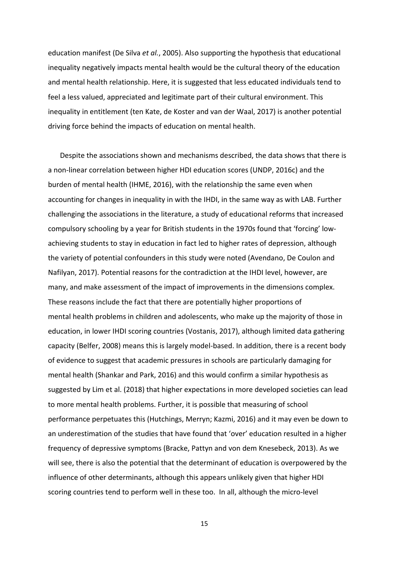education manifest (De Silva *et al.*, 2005). Also supporting the hypothesis that educational inequality negatively impacts mental health would be the cultural theory of the education and mental health relationship. Here, it is suggested that less educated individuals tend to feel a less valued, appreciated and legitimate part of their cultural environment. This inequality in entitlement (ten Kate, de Koster and van der Waal, 2017) is another potential driving force behind the impacts of education on mental health.

Despite the associations shown and mechanisms described, the data shows that there is a non-linear correlation between higher HDI education scores (UNDP, 2016c) and the burden of mental health (IHME, 2016), with the relationship the same even when accounting for changes in inequality in with the IHDI, in the same way as with LAB. Further challenging the associations in the literature, a study of educational reforms that increased compulsory schooling by a year for British students in the 1970s found that 'forcing' lowachieving students to stay in education in fact led to higher rates of depression, although the variety of potential confounders in this study were noted (Avendano, De Coulon and Nafilyan, 2017). Potential reasons for the contradiction at the IHDI level, however, are many, and make assessment of the impact of improvements in the dimensions complex. These reasons include the fact that there are potentially higher proportions of mental health problems in children and adolescents, who make up the majority of those in education, in lower IHDI scoring countries (Vostanis, 2017), although limited data gathering capacity (Belfer, 2008) means this is largely model-based. In addition, there is a recent body of evidence to suggest that academic pressures in schools are particularly damaging for mental health (Shankar and Park, 2016) and this would confirm a similar hypothesis as suggested by Lim et al. (2018) that higher expectations in more developed societies can lead to more mental health problems. Further, it is possible that measuring of school performance perpetuates this (Hutchings, Merryn; Kazmi, 2016) and it may even be down to an underestimation of the studies that have found that 'over' education resulted in a higher frequency of depressive symptoms (Bracke, Pattyn and von dem Knesebeck, 2013). As we will see, there is also the potential that the determinant of education is overpowered by the influence of other determinants, although this appears unlikely given that higher HDI scoring countries tend to perform well in these too. In all, although the micro-level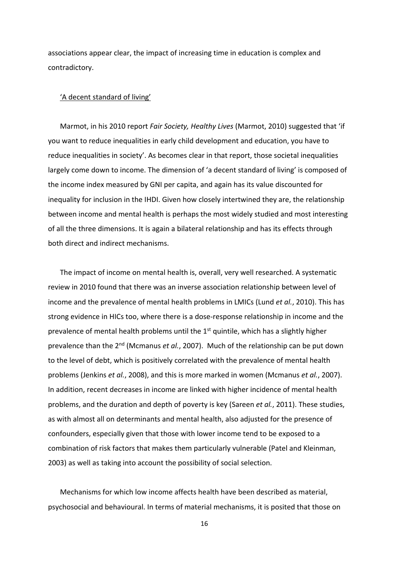associations appear clear, the impact of increasing time in education is complex and contradictory.

#### 'A decent standard of living'

Marmot, in his 2010 report *Fair Society, Healthy Lives* (Marmot, 2010) suggested that 'if you want to reduce inequalities in early child development and education, you have to reduce inequalities in society'. As becomes clear in that report, those societal inequalities largely come down to income. The dimension of 'a decent standard of living' is composed of the income index measured by GNI per capita, and again has its value discounted for inequality for inclusion in the IHDI. Given how closely intertwined they are, the relationship between income and mental health is perhaps the most widely studied and most interesting of all the three dimensions. It is again a bilateral relationship and has its effects through both direct and indirect mechanisms.

The impact of income on mental health is, overall, very well researched. A systematic review in 2010 found that there was an inverse association relationship between level of income and the prevalence of mental health problems in LMICs (Lund *et al.*, 2010). This has strong evidence in HICs too, where there is a dose-response relationship in income and the prevalence of mental health problems until the  $1<sup>st</sup>$  quintile, which has a slightly higher prevalence than the 2nd (Mcmanus *et al.*, 2007). Much of the relationship can be put down to the level of debt, which is positively correlated with the prevalence of mental health problems (Jenkins *et al.*, 2008), and this is more marked in women (Mcmanus *et al.*, 2007). In addition, recent decreases in income are linked with higher incidence of mental health problems, and the duration and depth of poverty is key (Sareen *et al.*, 2011). These studies, as with almost all on determinants and mental health, also adjusted for the presence of confounders, especially given that those with lower income tend to be exposed to a combination of risk factors that makes them particularly vulnerable (Patel and Kleinman, 2003) as well as taking into account the possibility of social selection.

Mechanisms for which low income affects health have been described as material, psychosocial and behavioural. In terms of material mechanisms, it is posited that those on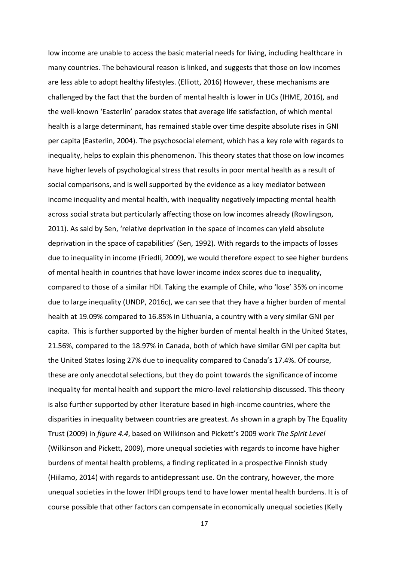low income are unable to access the basic material needs for living, including healthcare in many countries. The behavioural reason is linked, and suggests that those on low incomes are less able to adopt healthy lifestyles. (Elliott, 2016) However, these mechanisms are challenged by the fact that the burden of mental health is lower in LICs (IHME, 2016), and the well-known 'Easterlin' paradox states that average life satisfaction, of which mental health is a large determinant, has remained stable over time despite absolute rises in GNI per capita (Easterlin, 2004). The psychosocial element, which has a key role with regards to inequality, helps to explain this phenomenon. This theory states that those on low incomes have higher levels of psychological stress that results in poor mental health as a result of social comparisons, and is well supported by the evidence as a key mediator between income inequality and mental health, with inequality negatively impacting mental health across social strata but particularly affecting those on low incomes already (Rowlingson, 2011). As said by Sen, 'relative deprivation in the space of incomes can yield absolute deprivation in the space of capabilities' (Sen, 1992). With regards to the impacts of losses due to inequality in income (Friedli, 2009), we would therefore expect to see higher burdens of mental health in countries that have lower income index scores due to inequality, compared to those of a similar HDI. Taking the example of Chile, who 'lose' 35% on income due to large inequality (UNDP, 2016c), we can see that they have a higher burden of mental health at 19.09% compared to 16.85% in Lithuania, a country with a very similar GNI per capita. This is further supported by the higher burden of mental health in the United States, 21.56%, compared to the 18.97% in Canada, both of which have similar GNI per capita but the United States losing 27% due to inequality compared to Canada's 17.4%. Of course, these are only anecdotal selections, but they do point towards the significance of income inequality for mental health and support the micro-level relationship discussed. This theory is also further supported by other literature based in high-income countries, where the disparities in inequality between countries are greatest. As shown in a graph by The Equality Trust (2009) in *figure 4.4*, based on Wilkinson and Pickett's 2009 work *The Spirit Level*  (Wilkinson and Pickett, 2009), more unequal societies with regards to income have higher burdens of mental health problems, a finding replicated in a prospective Finnish study (Hiilamo, 2014) with regards to antidepressant use. On the contrary, however, the more unequal societies in the lower IHDI groups tend to have lower mental health burdens. It is of course possible that other factors can compensate in economically unequal societies (Kelly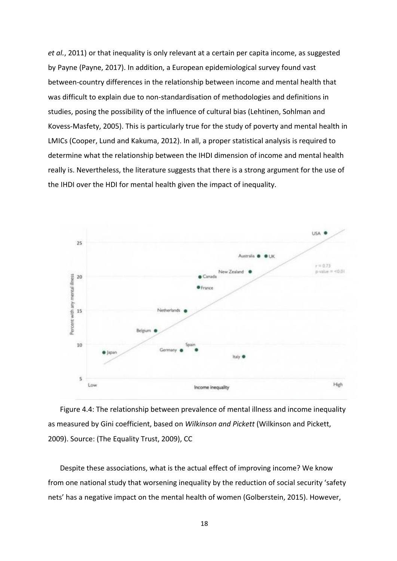*et al.*, 2011) or that inequality is only relevant at a certain per capita income, as suggested by Payne (Payne, 2017). In addition, a European epidemiological survey found vast between-country differences in the relationship between income and mental health that was difficult to explain due to non-standardisation of methodologies and definitions in studies, posing the possibility of the influence of cultural bias (Lehtinen, Sohlman and Kovess-Masfety, 2005). This is particularly true for the study of poverty and mental health in LMICs (Cooper, Lund and Kakuma, 2012). In all, a proper statistical analysis is required to determine what the relationship between the IHDI dimension of income and mental health really is. Nevertheless, the literature suggests that there is a strong argument for the use of the IHDI over the HDI for mental health given the impact of inequality.



Figure 4.4: The relationship between prevalence of mental illness and income inequality as measured by Gini coefficient, based on *Wilkinson and Pickett* (Wilkinson and Pickett, 2009). Source: (The Equality Trust, 2009), CC

Despite these associations, what is the actual effect of improving income? We know from one national study that worsening inequality by the reduction of social security 'safety nets' has a negative impact on the mental health of women (Golberstein, 2015). However,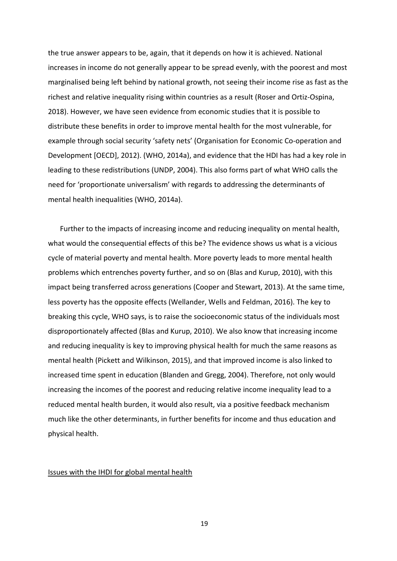the true answer appears to be, again, that it depends on how it is achieved. National increases in income do not generally appear to be spread evenly, with the poorest and most marginalised being left behind by national growth, not seeing their income rise as fast as the richest and relative inequality rising within countries as a result (Roser and Ortiz-Ospina, 2018). However, we have seen evidence from economic studies that it is possible to distribute these benefits in order to improve mental health for the most vulnerable, for example through social security 'safety nets' (Organisation for Economic Co-operation and Development [OECD], 2012). (WHO, 2014a), and evidence that the HDI has had a key role in leading to these redistributions (UNDP, 2004). This also forms part of what WHO calls the need for 'proportionate universalism' with regards to addressing the determinants of mental health inequalities (WHO, 2014a).

Further to the impacts of increasing income and reducing inequality on mental health, what would the consequential effects of this be? The evidence shows us what is a vicious cycle of material poverty and mental health. More poverty leads to more mental health problems which entrenches poverty further, and so on (Blas and Kurup, 2010), with this impact being transferred across generations (Cooper and Stewart, 2013). At the same time, less poverty has the opposite effects (Wellander, Wells and Feldman, 2016). The key to breaking this cycle, WHO says, is to raise the socioeconomic status of the individuals most disproportionately affected (Blas and Kurup, 2010). We also know that increasing income and reducing inequality is key to improving physical health for much the same reasons as mental health (Pickett and Wilkinson, 2015), and that improved income is also linked to increased time spent in education (Blanden and Gregg, 2004). Therefore, not only would increasing the incomes of the poorest and reducing relative income inequality lead to a reduced mental health burden, it would also result, via a positive feedback mechanism much like the other determinants, in further benefits for income and thus education and physical health.

#### Issues with the IHDI for global mental health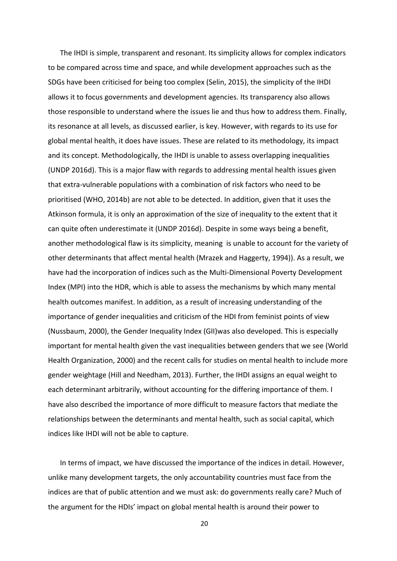The IHDI is simple, transparent and resonant. Its simplicity allows for complex indicators to be compared across time and space, and while development approaches such as the SDGs have been criticised for being too complex (Selin, 2015), the simplicity of the IHDI allows it to focus governments and development agencies. Its transparency also allows those responsible to understand where the issues lie and thus how to address them. Finally, its resonance at all levels, as discussed earlier, is key. However, with regards to its use for global mental health, it does have issues. These are related to its methodology, its impact and its concept. Methodologically, the IHDI is unable to assess overlapping inequalities (UNDP 2016d). This is a major flaw with regards to addressing mental health issues given that extra-vulnerable populations with a combination of risk factors who need to be prioritised (WHO, 2014b) are not able to be detected. In addition, given that it uses the Atkinson formula, it is only an approximation of the size of inequality to the extent that it can quite often underestimate it (UNDP 2016d). Despite in some ways being a benefit, another methodological flaw is its simplicity, meaning is unable to account for the variety of other determinants that affect mental health (Mrazek and Haggerty, 1994)). As a result, we have had the incorporation of indices such as the Multi-Dimensional Poverty Development Index (MPI) into the HDR, which is able to assess the mechanisms by which many mental health outcomes manifest. In addition, as a result of increasing understanding of the importance of gender inequalities and criticism of the HDI from feminist points of view (Nussbaum, 2000), the Gender Inequality Index (GII)was also developed. This is especially important for mental health given the vast inequalities between genders that we see (World Health Organization, 2000) and the recent calls for studies on mental health to include more gender weightage (Hill and Needham, 2013). Further, the IHDI assigns an equal weight to each determinant arbitrarily, without accounting for the differing importance of them. I have also described the importance of more difficult to measure factors that mediate the relationships between the determinants and mental health, such as social capital, which indices like IHDI will not be able to capture.

In terms of impact, we have discussed the importance of the indices in detail. However, unlike many development targets, the only accountability countries must face from the indices are that of public attention and we must ask: do governments really care? Much of the argument for the HDIs' impact on global mental health is around their power to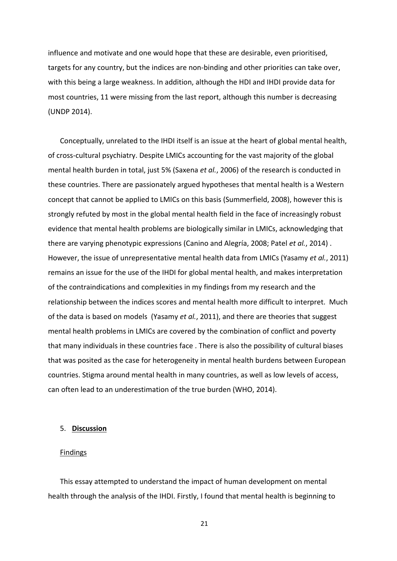influence and motivate and one would hope that these are desirable, even prioritised, targets for any country, but the indices are non-binding and other priorities can take over, with this being a large weakness. In addition, although the HDI and IHDI provide data for most countries, 11 were missing from the last report, although this number is decreasing (UNDP 2014).

Conceptually, unrelated to the IHDI itself is an issue at the heart of global mental health, of cross-cultural psychiatry. Despite LMICs accounting for the vast majority of the global mental health burden in total, just 5% (Saxena *et al.*, 2006) of the research is conducted in these countries. There are passionately argued hypotheses that mental health is a Western concept that cannot be applied to LMICs on this basis (Summerfield, 2008), however this is strongly refuted by most in the global mental health field in the face of increasingly robust evidence that mental health problems are biologically similar in LMICs, acknowledging that there are varying phenotypic expressions (Canino and Alegría, 2008; Patel *et al.*, 2014) . However, the issue of unrepresentative mental health data from LMICs (Yasamy *et al.*, 2011) remains an issue for the use of the IHDI for global mental health, and makes interpretation of the contraindications and complexities in my findings from my research and the relationship between the indices scores and mental health more difficult to interpret. Much of the data is based on models (Yasamy *et al.*, 2011), and there are theories that suggest mental health problems in LMICs are covered by the combination of conflict and poverty that many individuals in these countries face . There is also the possibility of cultural biases that was posited as the case for heterogeneity in mental health burdens between European countries. Stigma around mental health in many countries, as well as low levels of access, can often lead to an underestimation of the true burden (WHO, 2014).

## 5. **Discussion**

## Findings

This essay attempted to understand the impact of human development on mental health through the analysis of the IHDI. Firstly, I found that mental health is beginning to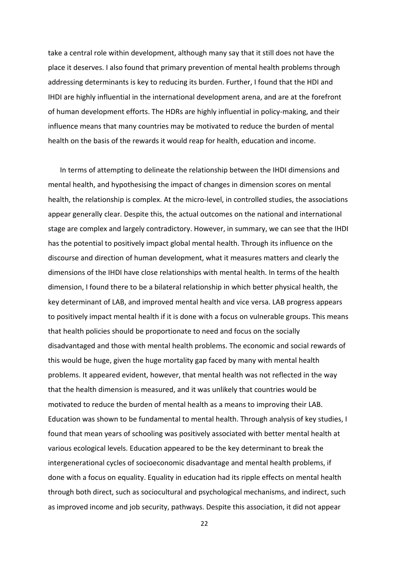take a central role within development, although many say that it still does not have the place it deserves. I also found that primary prevention of mental health problems through addressing determinants is key to reducing its burden. Further, I found that the HDI and IHDI are highly influential in the international development arena, and are at the forefront of human development efforts. The HDRs are highly influential in policy-making, and their influence means that many countries may be motivated to reduce the burden of mental health on the basis of the rewards it would reap for health, education and income.

In terms of attempting to delineate the relationship between the IHDI dimensions and mental health, and hypothesising the impact of changes in dimension scores on mental health, the relationship is complex. At the micro-level, in controlled studies, the associations appear generally clear. Despite this, the actual outcomes on the national and international stage are complex and largely contradictory. However, in summary, we can see that the IHDI has the potential to positively impact global mental health. Through its influence on the discourse and direction of human development, what it measures matters and clearly the dimensions of the IHDI have close relationships with mental health. In terms of the health dimension, I found there to be a bilateral relationship in which better physical health, the key determinant of LAB, and improved mental health and vice versa. LAB progress appears to positively impact mental health if it is done with a focus on vulnerable groups. This means that health policies should be proportionate to need and focus on the socially disadvantaged and those with mental health problems. The economic and social rewards of this would be huge, given the huge mortality gap faced by many with mental health problems. It appeared evident, however, that mental health was not reflected in the way that the health dimension is measured, and it was unlikely that countries would be motivated to reduce the burden of mental health as a means to improving their LAB. Education was shown to be fundamental to mental health. Through analysis of key studies, I found that mean years of schooling was positively associated with better mental health at various ecological levels. Education appeared to be the key determinant to break the intergenerational cycles of socioeconomic disadvantage and mental health problems, if done with a focus on equality. Equality in education had its ripple effects on mental health through both direct, such as sociocultural and psychological mechanisms, and indirect, such as improved income and job security, pathways. Despite this association, it did not appear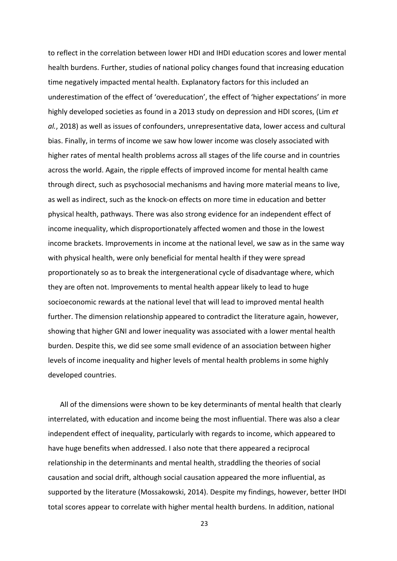to reflect in the correlation between lower HDI and IHDI education scores and lower mental health burdens. Further, studies of national policy changes found that increasing education time negatively impacted mental health. Explanatory factors for this included an underestimation of the effect of 'overeducation', the effect of 'higher expectations' in more highly developed societies as found in a 2013 study on depression and HDI scores, (Lim *et al.*, 2018) as well as issues of confounders, unrepresentative data, lower access and cultural bias. Finally, in terms of income we saw how lower income was closely associated with higher rates of mental health problems across all stages of the life course and in countries across the world. Again, the ripple effects of improved income for mental health came through direct, such as psychosocial mechanisms and having more material means to live, as well as indirect, such as the knock-on effects on more time in education and better physical health, pathways. There was also strong evidence for an independent effect of income inequality, which disproportionately affected women and those in the lowest income brackets. Improvements in income at the national level, we saw as in the same way with physical health, were only beneficial for mental health if they were spread proportionately so as to break the intergenerational cycle of disadvantage where, which they are often not. Improvements to mental health appear likely to lead to huge socioeconomic rewards at the national level that will lead to improved mental health further. The dimension relationship appeared to contradict the literature again, however, showing that higher GNI and lower inequality was associated with a lower mental health burden. Despite this, we did see some small evidence of an association between higher levels of income inequality and higher levels of mental health problems in some highly developed countries.

All of the dimensions were shown to be key determinants of mental health that clearly interrelated, with education and income being the most influential. There was also a clear independent effect of inequality, particularly with regards to income, which appeared to have huge benefits when addressed. I also note that there appeared a reciprocal relationship in the determinants and mental health, straddling the theories of social causation and social drift, although social causation appeared the more influential, as supported by the literature (Mossakowski, 2014). Despite my findings, however, better IHDI total scores appear to correlate with higher mental health burdens. In addition, national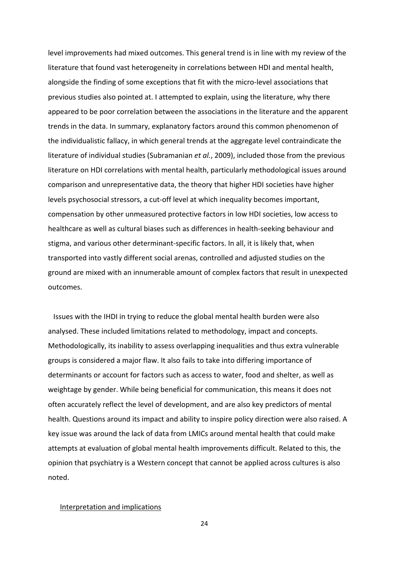level improvements had mixed outcomes. This general trend is in line with my review of the literature that found vast heterogeneity in correlations between HDI and mental health, alongside the finding of some exceptions that fit with the micro-level associations that previous studies also pointed at. I attempted to explain, using the literature, why there appeared to be poor correlation between the associations in the literature and the apparent trends in the data. In summary, explanatory factors around this common phenomenon of the individualistic fallacy, in which general trends at the aggregate level contraindicate the literature of individual studies (Subramanian *et al.*, 2009), included those from the previous literature on HDI correlations with mental health, particularly methodological issues around comparison and unrepresentative data, the theory that higher HDI societies have higher levels psychosocial stressors, a cut-off level at which inequality becomes important, compensation by other unmeasured protective factors in low HDI societies, low access to healthcare as well as cultural biases such as differences in health-seeking behaviour and stigma, and various other determinant-specific factors. In all, it is likely that, when transported into vastly different social arenas, controlled and adjusted studies on the ground are mixed with an innumerable amount of complex factors that result in unexpected outcomes.

 Issues with the IHDI in trying to reduce the global mental health burden were also analysed. These included limitations related to methodology, impact and concepts. Methodologically, its inability to assess overlapping inequalities and thus extra vulnerable groups is considered a major flaw. It also fails to take into differing importance of determinants or account for factors such as access to water, food and shelter, as well as weightage by gender. While being beneficial for communication, this means it does not often accurately reflect the level of development, and are also key predictors of mental health. Questions around its impact and ability to inspire policy direction were also raised. A key issue was around the lack of data from LMICs around mental health that could make attempts at evaluation of global mental health improvements difficult. Related to this, the opinion that psychiatry is a Western concept that cannot be applied across cultures is also noted.

#### Interpretation and implications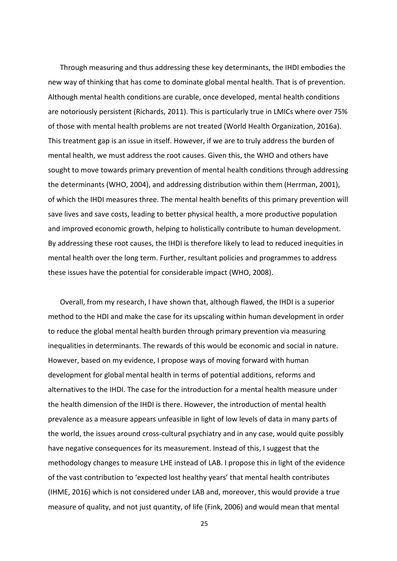Through measuring and thus addressing these key determinants, the IHDI embodies the new way of thinking that has come to dominate global mental health. That is of prevention. Although mental health conditions are curable, once developed, mental health conditions are notoriously persistent (Richards, 2011). This is particularly true in LMICs where over 75% of those with mental health problems are not treated (World Health Organization, 2016a). This treatment gap is an issue in itself. However, if we are to truly address the burden of mental health, we must address the root causes. Given this, the WHO and others have sought to move towards primary prevention of mental health conditions through addressing the determinants (WHO, 2004), and addressing distribution within them (Herrman, 2001), of which the IHDI measures three. The mental health benefits of this primary prevention will save lives and save costs, leading to better physical health, a more productive population and improved economic growth, helping to holistically contribute to human development. By addressing these root causes, the IHDI is therefore likely to lead to reduced inequities in mental health over the long term. Further, resultant policies and programmes to address these issues have the potential for considerable impact (WHO, 2008).

Overall, from my research, I have shown that, although flawed, the IHDI is a superior method to the HDI and make the case for its upscaling within human development in order to reduce the global mental health burden through primary prevention via measuring inequalities in determinants. The rewards of this would be economic and social in nature. However, based on my evidence, I propose ways of moving forward with human development for global mental health in terms of potential additions, reforms and alternatives to the IHDI. The case for the introduction for a mental health measure under the health dimension of the IHDI is there. However, the introduction of mental health prevalence as a measure appears unfeasible in light of low levels of data in many parts of the world, the issues around cross-cultural psychiatry and in any case, would quite possibly have negative consequences for its measurement. Instead of this, I suggest that the methodology changes to measure LHE instead of LAB. I propose this in light of the evidence of the vast contribution to 'expected lost healthy years' that mental health contributes (IHME, 2016) which is not considered under LAB and, moreover, this would provide a true measure of quality, and not just quantity, of life (Fink, 2006) and would mean that mental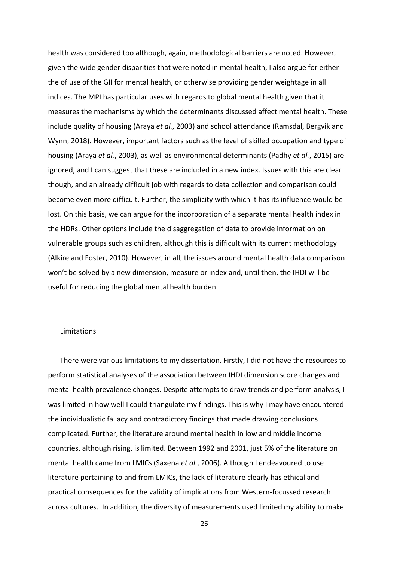health was considered too although, again, methodological barriers are noted. However, given the wide gender disparities that were noted in mental health, I also argue for either the of use of the GII for mental health, or otherwise providing gender weightage in all indices. The MPI has particular uses with regards to global mental health given that it measures the mechanisms by which the determinants discussed affect mental health. These include quality of housing (Araya *et al.*, 2003) and school attendance (Ramsdal, Bergvik and Wynn, 2018). However, important factors such as the level of skilled occupation and type of housing (Araya *et al.*, 2003), as well as environmental determinants (Padhy *et al.*, 2015) are ignored, and I can suggest that these are included in a new index. Issues with this are clear though, and an already difficult job with regards to data collection and comparison could become even more difficult. Further, the simplicity with which it has its influence would be lost. On this basis, we can argue for the incorporation of a separate mental health index in the HDRs. Other options include the disaggregation of data to provide information on vulnerable groups such as children, although this is difficult with its current methodology (Alkire and Foster, 2010). However, in all, the issues around mental health data comparison won't be solved by a new dimension, measure or index and, until then, the IHDI will be useful for reducing the global mental health burden.

#### **Limitations**

There were various limitations to my dissertation. Firstly, I did not have the resources to perform statistical analyses of the association between IHDI dimension score changes and mental health prevalence changes. Despite attempts to draw trends and perform analysis, I was limited in how well I could triangulate my findings. This is why I may have encountered the individualistic fallacy and contradictory findings that made drawing conclusions complicated. Further, the literature around mental health in low and middle income countries, although rising, is limited. Between 1992 and 2001, just 5% of the literature on mental health came from LMICs (Saxena *et al.*, 2006). Although I endeavoured to use literature pertaining to and from LMICs, the lack of literature clearly has ethical and practical consequences for the validity of implications from Western-focussed research across cultures. In addition, the diversity of measurements used limited my ability to make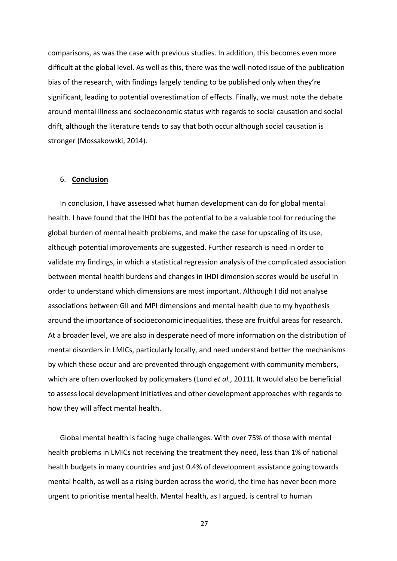comparisons, as was the case with previous studies. In addition, this becomes even more difficult at the global level. As well as this, there was the well-noted issue of the publication bias of the research, with findings largely tending to be published only when they're significant, leading to potential overestimation of effects. Finally, we must note the debate around mental illness and socioeconomic status with regards to social causation and social drift, although the literature tends to say that both occur although social causation is stronger (Mossakowski, 2014).

## 6. **Conclusion**

In conclusion, I have assessed what human development can do for global mental health. I have found that the IHDI has the potential to be a valuable tool for reducing the global burden of mental health problems, and make the case for upscaling of its use, although potential improvements are suggested. Further research is need in order to validate my findings, in which a statistical regression analysis of the complicated association between mental health burdens and changes in IHDI dimension scores would be useful in order to understand which dimensions are most important. Although I did not analyse associations between GII and MPI dimensions and mental health due to my hypothesis around the importance of socioeconomic inequalities, these are fruitful areas for research. At a broader level, we are also in desperate need of more information on the distribution of mental disorders in LMICs, particularly locally, and need understand better the mechanisms by which these occur and are prevented through engagement with community members, which are often overlooked by policymakers (Lund *et al.*, 2011). It would also be beneficial to assess local development initiatives and other development approaches with regards to how they will affect mental health.

Global mental health is facing huge challenges. With over 75% of those with mental health problems in LMICs not receiving the treatment they need, less than 1% of national health budgets in many countries and just 0.4% of development assistance going towards mental health, as well as a rising burden across the world, the time has never been more urgent to prioritise mental health. Mental health, as I argued, is central to human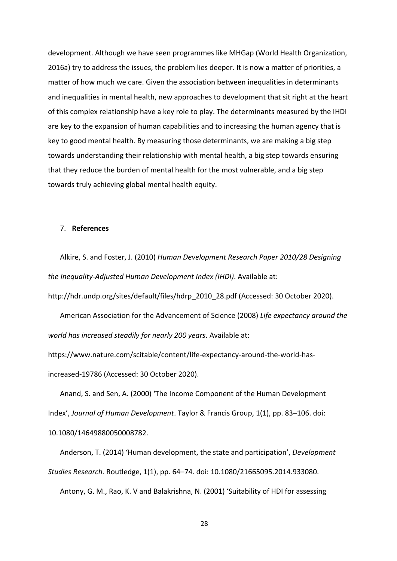development. Although we have seen programmes like MHGap (World Health Organization, 2016a) try to address the issues, the problem lies deeper. It is now a matter of priorities, a matter of how much we care. Given the association between inequalities in determinants and inequalities in mental health, new approaches to development that sit right at the heart of this complex relationship have a key role to play. The determinants measured by the IHDI are key to the expansion of human capabilities and to increasing the human agency that is key to good mental health. By measuring those determinants, we are making a big step towards understanding their relationship with mental health, a big step towards ensuring that they reduce the burden of mental health for the most vulnerable, and a big step towards truly achieving global mental health equity.

#### 7. **References**

Alkire, S. and Foster, J. (2010) *Human Development Research Paper 2010/28 Designing the Inequality-Adjusted Human Development Index (IHDI)*. Available at:

http://hdr.undp.org/sites/default/files/hdrp\_2010\_28.pdf (Accessed: 30 October 2020).

American Association for the Advancement of Science (2008) *Life expectancy around the world has increased steadily for nearly 200 years*. Available at:

https://www.nature.com/scitable/content/life-expectancy-around-the-world-hasincreased-19786 (Accessed: 30 October 2020).

Anand, S. and Sen, A. (2000) 'The Income Component of the Human Development Index', *Journal of Human Development*. Taylor & Francis Group, 1(1), pp. 83–106. doi: 10.1080/14649880050008782.

Anderson, T. (2014) 'Human development, the state and participation', *Development Studies Research*. Routledge, 1(1), pp. 64–74. doi: 10.1080/21665095.2014.933080.

Antony, G. M., Rao, K. V and Balakrishna, N. (2001) 'Suitability of HDI for assessing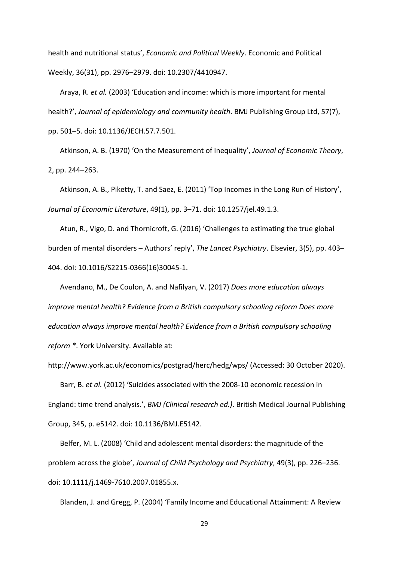health and nutritional status', *Economic and Political Weekly*. Economic and Political Weekly, 36(31), pp. 2976–2979. doi: 10.2307/4410947.

Araya, R. *et al.* (2003) 'Education and income: which is more important for mental health?', *Journal of epidemiology and community health*. BMJ Publishing Group Ltd, 57(7), pp. 501–5. doi: 10.1136/JECH.57.7.501.

Atkinson, A. B. (1970) 'On the Measurement of Inequality', *Journal of Economic Theory*, 2, pp. 244–263.

Atkinson, A. B., Piketty, T. and Saez, E. (2011) 'Top Incomes in the Long Run of History', *Journal of Economic Literature*, 49(1), pp. 3–71. doi: 10.1257/jel.49.1.3.

Atun, R., Vigo, D. and Thornicroft, G. (2016) 'Challenges to estimating the true global burden of mental disorders – Authors' reply', *The Lancet Psychiatry*. Elsevier, 3(5), pp. 403– 404. doi: 10.1016/S2215-0366(16)30045-1.

Avendano, M., De Coulon, A. and Nafilyan, V. (2017) *Does more education always improve mental health? Evidence from a British compulsory schooling reform Does more education always improve mental health? Evidence from a British compulsory schooling reform \**. York University. Available at:

http://www.york.ac.uk/economics/postgrad/herc/hedg/wps/ (Accessed: 30 October 2020).

Barr, B. *et al.* (2012) 'Suicides associated with the 2008-10 economic recession in England: time trend analysis.', *BMJ (Clinical research ed.)*. British Medical Journal Publishing Group, 345, p. e5142. doi: 10.1136/BMJ.E5142.

Belfer, M. L. (2008) 'Child and adolescent mental disorders: the magnitude of the problem across the globe', *Journal of Child Psychology and Psychiatry*, 49(3), pp. 226–236. doi: 10.1111/j.1469-7610.2007.01855.x.

Blanden, J. and Gregg, P. (2004) 'Family Income and Educational Attainment: A Review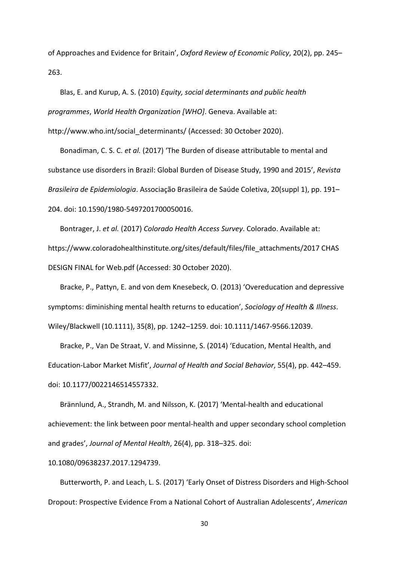of Approaches and Evidence for Britain', *Oxford Review of Economic Policy*, 20(2), pp. 245– 263.

Blas, E. and Kurup, A. S. (2010) *Equity, social determinants and public health programmes*, *World Health Organization [WHO]*. Geneva. Available at: http://www.who.int/social\_determinants/ (Accessed: 30 October 2020).

Bonadiman, C. S. C. *et al.* (2017) 'The Burden of disease attributable to mental and substance use disorders in Brazil: Global Burden of Disease Study, 1990 and 2015', *Revista Brasileira de Epidemiologia*. Associação Brasileira de Saúde Coletiva, 20(suppl 1), pp. 191– 204. doi: 10.1590/1980-5497201700050016.

Bontrager, J. *et al.* (2017) *Colorado Health Access Survey*. Colorado. Available at: https://www.coloradohealthinstitute.org/sites/default/files/file\_attachments/2017 CHAS DESIGN FINAL for Web.pdf (Accessed: 30 October 2020).

Bracke, P., Pattyn, E. and von dem Knesebeck, O. (2013) 'Overeducation and depressive symptoms: diminishing mental health returns to education', *Sociology of Health & Illness*. Wiley/Blackwell (10.1111), 35(8), pp. 1242–1259. doi: 10.1111/1467-9566.12039.

Bracke, P., Van De Straat, V. and Missinne, S. (2014) 'Education, Mental Health, and Education-Labor Market Misfit', *Journal of Health and Social Behavior*, 55(4), pp. 442–459. doi: 10.1177/0022146514557332.

Brännlund, A., Strandh, M. and Nilsson, K. (2017) 'Mental-health and educational achievement: the link between poor mental-health and upper secondary school completion and grades', *Journal of Mental Health*, 26(4), pp. 318–325. doi:

10.1080/09638237.2017.1294739.

Butterworth, P. and Leach, L. S. (2017) 'Early Onset of Distress Disorders and High-School Dropout: Prospective Evidence From a National Cohort of Australian Adolescents', *American*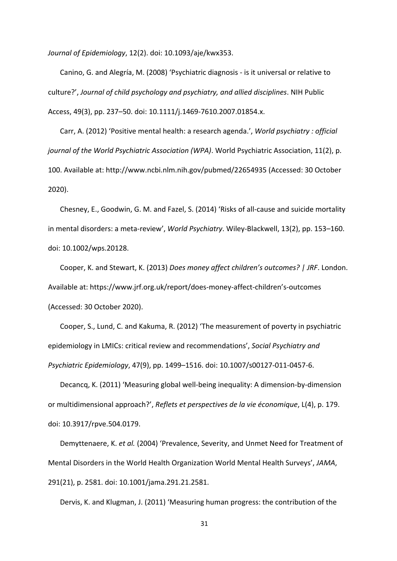*Journal of Epidemiology*, 12(2). doi: 10.1093/aje/kwx353.

Canino, G. and Alegría, M. (2008) 'Psychiatric diagnosis - is it universal or relative to culture?', *Journal of child psychology and psychiatry, and allied disciplines*. NIH Public Access, 49(3), pp. 237–50. doi: 10.1111/j.1469-7610.2007.01854.x.

Carr, A. (2012) 'Positive mental health: a research agenda.', *World psychiatry : official journal of the World Psychiatric Association (WPA)*. World Psychiatric Association, 11(2), p. 100. Available at: http://www.ncbi.nlm.nih.gov/pubmed/22654935 (Accessed: 30 October 2020).

Chesney, E., Goodwin, G. M. and Fazel, S. (2014) 'Risks of all-cause and suicide mortality in mental disorders: a meta-review', *World Psychiatry*. Wiley-Blackwell, 13(2), pp. 153–160. doi: 10.1002/wps.20128.

Cooper, K. and Stewart, K. (2013) *Does money affect children's outcomes? | JRF*. London. Available at: https://www.jrf.org.uk/report/does-money-affect-children's-outcomes (Accessed: 30 October 2020).

Cooper, S., Lund, C. and Kakuma, R. (2012) 'The measurement of poverty in psychiatric epidemiology in LMICs: critical review and recommendations', *Social Psychiatry and Psychiatric Epidemiology*, 47(9), pp. 1499–1516. doi: 10.1007/s00127-011-0457-6.

Decancq, K. (2011) 'Measuring global well-being inequality: A dimension-by-dimension or multidimensional approach?', *Reflets et perspectives de la vie économique*, L(4), p. 179. doi: 10.3917/rpve.504.0179.

Demyttenaere, K. *et al.* (2004) 'Prevalence, Severity, and Unmet Need for Treatment of Mental Disorders in the World Health Organization World Mental Health Surveys', *JAMA*, 291(21), p. 2581. doi: 10.1001/jama.291.21.2581.

Dervis, K. and Klugman, J. (2011) 'Measuring human progress: the contribution of the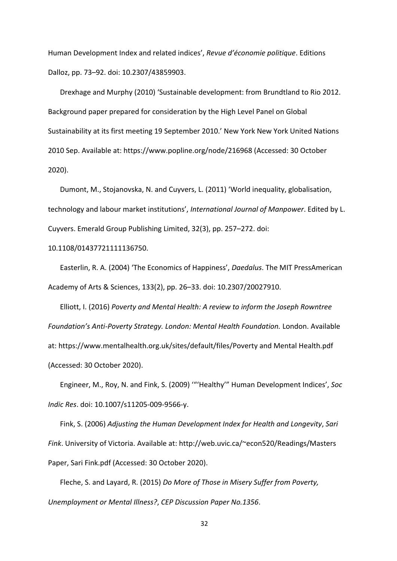Human Development Index and related indices', *Revue d'économie politique*. Editions Dalloz, pp. 73–92. doi: 10.2307/43859903.

Drexhage and Murphy (2010) 'Sustainable development: from Brundtland to Rio 2012. Background paper prepared for consideration by the High Level Panel on Global Sustainability at its first meeting 19 September 2010.' New York New York United Nations 2010 Sep. Available at: https://www.popline.org/node/216968 (Accessed: 30 October 2020).

Dumont, M., Stojanovska, N. and Cuyvers, L. (2011) 'World inequality, globalisation, technology and labour market institutions', *International Journal of Manpower*. Edited by L. Cuyvers. Emerald Group Publishing Limited, 32(3), pp. 257–272. doi:

10.1108/01437721111136750.

Easterlin, R. A. (2004) 'The Economics of Happiness', *Daedalus*. The MIT PressAmerican Academy of Arts & Sciences, 133(2), pp. 26–33. doi: 10.2307/20027910.

Elliott, I. (2016) *Poverty and Mental Health: A review to inform the Joseph Rowntree Foundation's Anti-Poverty Strategy. London: Mental Health Foundation.* London. Available at: https://www.mentalhealth.org.uk/sites/default/files/Poverty and Mental Health.pdf (Accessed: 30 October 2020).

Engineer, M., Roy, N. and Fink, S. (2009) '"'Healthy'" Human Development Indices', *Soc Indic Res*. doi: 10.1007/s11205-009-9566-y.

Fink, S. (2006) *Adjusting the Human Development Index for Health and Longevity*, *Sari Fink*. University of Victoria. Available at: http://web.uvic.ca/~econ520/Readings/Masters Paper, Sari Fink.pdf (Accessed: 30 October 2020).

Fleche, S. and Layard, R. (2015) *Do More of Those in Misery Suffer from Poverty, Unemployment or Mental Illness?*, *CEP Discussion Paper No.1356*.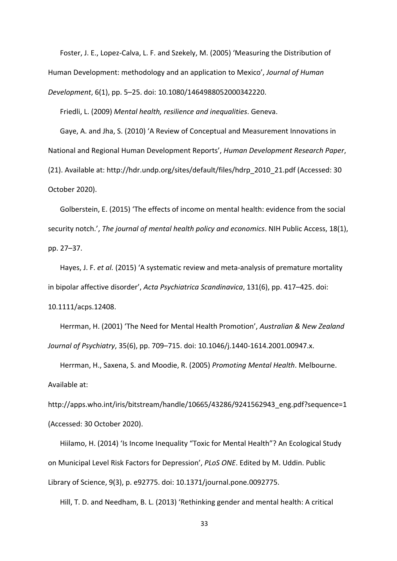Foster, J. E., Lopez‐Calva, L. F. and Szekely, M. (2005) 'Measuring the Distribution of Human Development: methodology and an application to Mexico', *Journal of Human Development*, 6(1), pp. 5–25. doi: 10.1080/1464988052000342220.

Friedli, L. (2009) *Mental health, resilience and inequalities*. Geneva.

Gaye, A. and Jha, S. (2010) 'A Review of Conceptual and Measurement Innovations in National and Regional Human Development Reports', *Human Development Research Paper*, (21). Available at: http://hdr.undp.org/sites/default/files/hdrp\_2010\_21.pdf (Accessed: 30 October 2020).

Golberstein, E. (2015) 'The effects of income on mental health: evidence from the social security notch.', *The journal of mental health policy and economics*. NIH Public Access, 18(1), pp. 27–37.

Hayes, J. F. *et al.* (2015) 'A systematic review and meta-analysis of premature mortality in bipolar affective disorder', *Acta Psychiatrica Scandinavica*, 131(6), pp. 417–425. doi: 10.1111/acps.12408.

Herrman, H. (2001) 'The Need for Mental Health Promotion', *Australian & New Zealand Journal of Psychiatry*, 35(6), pp. 709–715. doi: 10.1046/j.1440-1614.2001.00947.x.

Herrman, H., Saxena, S. and Moodie, R. (2005) *Promoting Mental Health*. Melbourne. Available at:

http://apps.who.int/iris/bitstream/handle/10665/43286/9241562943\_eng.pdf?sequence=1 (Accessed: 30 October 2020).

Hiilamo, H. (2014) 'Is Income Inequality "Toxic for Mental Health"? An Ecological Study on Municipal Level Risk Factors for Depression', *PLoS ONE*. Edited by M. Uddin. Public Library of Science, 9(3), p. e92775. doi: 10.1371/journal.pone.0092775.

Hill, T. D. and Needham, B. L. (2013) 'Rethinking gender and mental health: A critical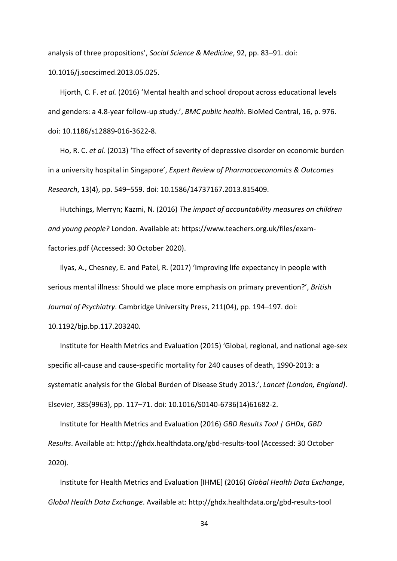analysis of three propositions', *Social Science & Medicine*, 92, pp. 83–91. doi: 10.1016/j.socscimed.2013.05.025.

Hjorth, C. F. *et al.* (2016) 'Mental health and school dropout across educational levels and genders: a 4.8-year follow-up study.', *BMC public health*. BioMed Central, 16, p. 976. doi: 10.1186/s12889-016-3622-8.

Ho, R. C. *et al.* (2013) 'The effect of severity of depressive disorder on economic burden in a university hospital in Singapore', *Expert Review of Pharmacoeconomics & Outcomes Research*, 13(4), pp. 549–559. doi: 10.1586/14737167.2013.815409.

Hutchings, Merryn; Kazmi, N. (2016) *The impact of accountability measures on children and young people?* London. Available at: https://www.teachers.org.uk/files/examfactories.pdf (Accessed: 30 October 2020).

Ilyas, A., Chesney, E. and Patel, R. (2017) 'Improving life expectancy in people with serious mental illness: Should we place more emphasis on primary prevention?', *British Journal of Psychiatry*. Cambridge University Press, 211(04), pp. 194–197. doi:

10.1192/bjp.bp.117.203240.

Institute for Health Metrics and Evaluation (2015) 'Global, regional, and national age-sex specific all-cause and cause-specific mortality for 240 causes of death, 1990-2013: a systematic analysis for the Global Burden of Disease Study 2013.', *Lancet (London, England)*. Elsevier, 385(9963), pp. 117–71. doi: 10.1016/S0140-6736(14)61682-2.

Institute for Health Metrics and Evaluation (2016) *GBD Results Tool | GHDx*, *GBD Results*. Available at: http://ghdx.healthdata.org/gbd-results-tool (Accessed: 30 October 2020).

Institute for Health Metrics and Evaluation [IHME] (2016) *Global Health Data Exchange*, *Global Health Data Exchange*. Available at: http://ghdx.healthdata.org/gbd-results-tool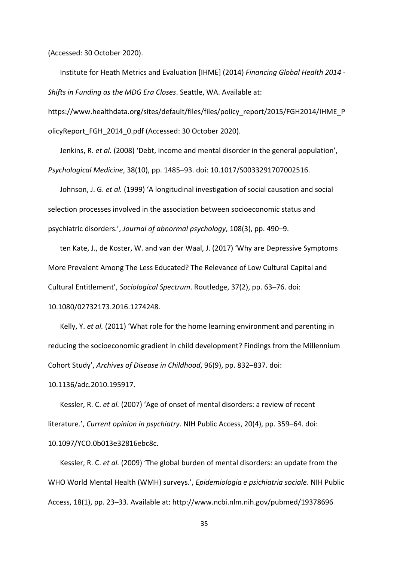(Accessed: 30 October 2020).

Institute for Heath Metrics and Evaluation [IHME] (2014) *Financing Global Health 2014 - Shifts in Funding as the MDG Era Closes*. Seattle, WA. Available at:

https://www.healthdata.org/sites/default/files/files/policy\_report/2015/FGH2014/IHME\_P olicyReport\_FGH\_2014\_0.pdf (Accessed: 30 October 2020).

Jenkins, R. *et al.* (2008) 'Debt, income and mental disorder in the general population', *Psychological Medicine*, 38(10), pp. 1485–93. doi: 10.1017/S0033291707002516.

Johnson, J. G. *et al.* (1999) 'A longitudinal investigation of social causation and social selection processes involved in the association between socioeconomic status and psychiatric disorders.', *Journal of abnormal psychology*, 108(3), pp. 490–9.

ten Kate, J., de Koster, W. and van der Waal, J. (2017) 'Why are Depressive Symptoms More Prevalent Among The Less Educated? The Relevance of Low Cultural Capital and Cultural Entitlement', *Sociological Spectrum*. Routledge, 37(2), pp. 63–76. doi: 10.1080/02732173.2016.1274248.

Kelly, Y. *et al.* (2011) 'What role for the home learning environment and parenting in reducing the socioeconomic gradient in child development? Findings from the Millennium Cohort Study', *Archives of Disease in Childhood*, 96(9), pp. 832–837. doi:

10.1136/adc.2010.195917.

Kessler, R. C. *et al.* (2007) 'Age of onset of mental disorders: a review of recent literature.', *Current opinion in psychiatry*. NIH Public Access, 20(4), pp. 359–64. doi: 10.1097/YCO.0b013e32816ebc8c.

Kessler, R. C. *et al.* (2009) 'The global burden of mental disorders: an update from the WHO World Mental Health (WMH) surveys.', *Epidemiologia e psichiatria sociale*. NIH Public Access, 18(1), pp. 23–33. Available at: http://www.ncbi.nlm.nih.gov/pubmed/19378696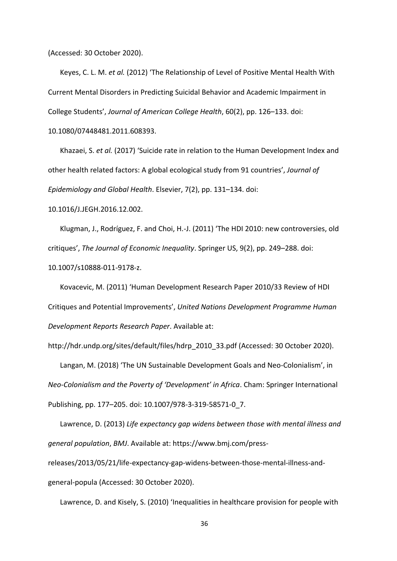(Accessed: 30 October 2020).

Keyes, C. L. M. *et al.* (2012) 'The Relationship of Level of Positive Mental Health With Current Mental Disorders in Predicting Suicidal Behavior and Academic Impairment in College Students', *Journal of American College Health*, 60(2), pp. 126–133. doi:

10.1080/07448481.2011.608393.

Khazaei, S. *et al.* (2017) 'Suicide rate in relation to the Human Development Index and other health related factors: A global ecological study from 91 countries', *Journal of Epidemiology and Global Health*. Elsevier, 7(2), pp. 131–134. doi:

10.1016/J.JEGH.2016.12.002.

Klugman, J., Rodríguez, F. and Choi, H.-J. (2011) 'The HDI 2010: new controversies, old critiques', *The Journal of Economic Inequality*. Springer US, 9(2), pp. 249–288. doi:

10.1007/s10888-011-9178-z.

Kovacevic, M. (2011) 'Human Development Research Paper 2010/33 Review of HDI Critiques and Potential Improvements', *United Nations Development Programme Human Development Reports Research Paper*. Available at:

http://hdr.undp.org/sites/default/files/hdrp\_2010\_33.pdf (Accessed: 30 October 2020).

Langan, M. (2018) 'The UN Sustainable Development Goals and Neo-Colonialism', in *Neo-Colonialism and the Poverty of 'Development' in Africa*. Cham: Springer International Publishing, pp. 177–205. doi: 10.1007/978-3-319-58571-0\_7.

Lawrence, D. (2013) *Life expectancy gap widens between those with mental illness and general population*, *BMJ*. Available at: https://www.bmj.com/pressreleases/2013/05/21/life-expectancy-gap-widens-between-those-mental-illness-andgeneral-popula (Accessed: 30 October 2020).

Lawrence, D. and Kisely, S. (2010) 'Inequalities in healthcare provision for people with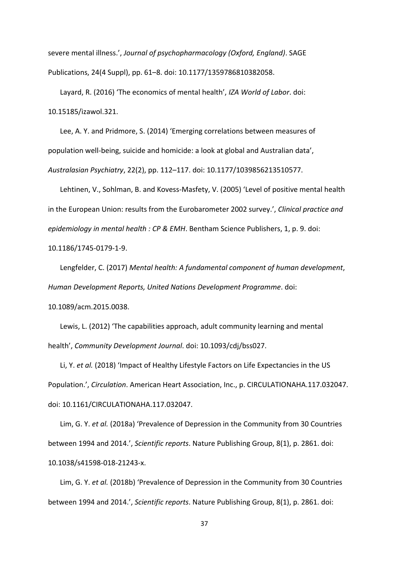severe mental illness.', *Journal of psychopharmacology (Oxford, England)*. SAGE Publications, 24(4 Suppl), pp. 61–8. doi: 10.1177/1359786810382058.

Layard, R. (2016) 'The economics of mental health', *IZA World of Labor*. doi: 10.15185/izawol.321.

Lee, A. Y. and Pridmore, S. (2014) 'Emerging correlations between measures of population well-being, suicide and homicide: a look at global and Australian data', *Australasian Psychiatry*, 22(2), pp. 112–117. doi: 10.1177/1039856213510577.

Lehtinen, V., Sohlman, B. and Kovess-Masfety, V. (2005) 'Level of positive mental health in the European Union: results from the Eurobarometer 2002 survey.', *Clinical practice and epidemiology in mental health : CP & EMH*. Bentham Science Publishers, 1, p. 9. doi: 10.1186/1745-0179-1-9.

Lengfelder, C. (2017) *Mental health: A fundamental component of human development*, *Human Development Reports, United Nations Development Programme*. doi: 10.1089/acm.2015.0038.

Lewis, L. (2012) 'The capabilities approach, adult community learning and mental health', *Community Development Journal*. doi: 10.1093/cdj/bss027.

Li, Y. *et al.* (2018) 'Impact of Healthy Lifestyle Factors on Life Expectancies in the US Population.', *Circulation*. American Heart Association, Inc., p. CIRCULATIONAHA.117.032047. doi: 10.1161/CIRCULATIONAHA.117.032047.

Lim, G. Y. *et al.* (2018a) 'Prevalence of Depression in the Community from 30 Countries between 1994 and 2014.', *Scientific reports*. Nature Publishing Group, 8(1), p. 2861. doi: 10.1038/s41598-018-21243-x.

Lim, G. Y. *et al.* (2018b) 'Prevalence of Depression in the Community from 30 Countries between 1994 and 2014.', *Scientific reports*. Nature Publishing Group, 8(1), p. 2861. doi: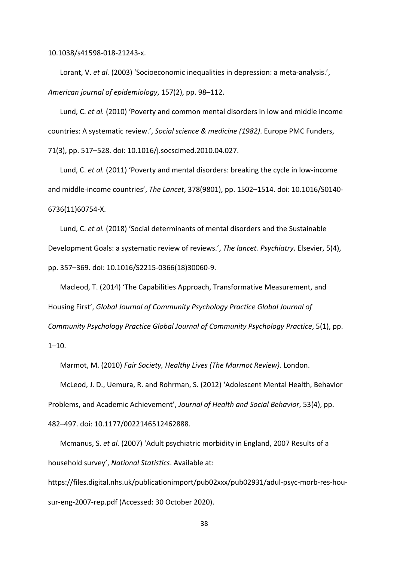10.1038/s41598-018-21243-x.

Lorant, V. *et al.* (2003) 'Socioeconomic inequalities in depression: a meta-analysis.', *American journal of epidemiology*, 157(2), pp. 98–112.

Lund, C. *et al.* (2010) 'Poverty and common mental disorders in low and middle income countries: A systematic review.', *Social science & medicine (1982)*. Europe PMC Funders, 71(3), pp. 517–528. doi: 10.1016/j.socscimed.2010.04.027.

Lund, C. *et al.* (2011) 'Poverty and mental disorders: breaking the cycle in low-income and middle-income countries', *The Lancet*, 378(9801), pp. 1502–1514. doi: 10.1016/S0140- 6736(11)60754-X.

Lund, C. *et al.* (2018) 'Social determinants of mental disorders and the Sustainable Development Goals: a systematic review of reviews.', *The lancet. Psychiatry*. Elsevier, 5(4), pp. 357–369. doi: 10.1016/S2215-0366(18)30060-9.

Macleod, T. (2014) 'The Capabilities Approach, Transformative Measurement, and Housing First', *Global Journal of Community Psychology Practice Global Journal of Community Psychology Practice Global Journal of Community Psychology Practice*, 5(1), pp.  $1 - 10.$ 

Marmot, M. (2010) *Fair Society, Healthy Lives (The Marmot Review)*. London.

McLeod, J. D., Uemura, R. and Rohrman, S. (2012) 'Adolescent Mental Health, Behavior Problems, and Academic Achievement', *Journal of Health and Social Behavior*, 53(4), pp. 482–497. doi: 10.1177/0022146512462888.

Mcmanus, S. *et al.* (2007) 'Adult psychiatric morbidity in England, 2007 Results of a household survey', *National Statistics*. Available at:

https://files.digital.nhs.uk/publicationimport/pub02xxx/pub02931/adul-psyc-morb-res-housur-eng-2007-rep.pdf (Accessed: 30 October 2020).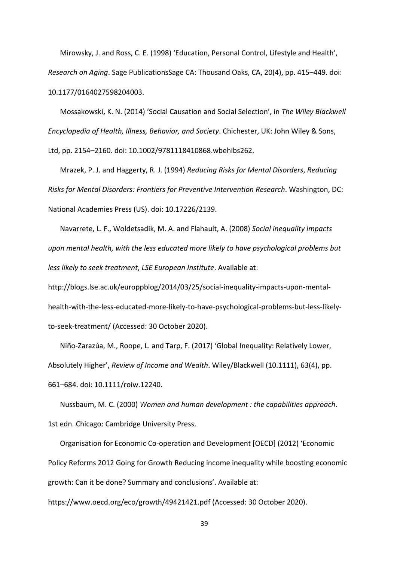Mirowsky, J. and Ross, C. E. (1998) 'Education, Personal Control, Lifestyle and Health', *Research on Aging*. Sage PublicationsSage CA: Thousand Oaks, CA, 20(4), pp. 415–449. doi: 10.1177/0164027598204003.

Mossakowski, K. N. (2014) 'Social Causation and Social Selection', in *The Wiley Blackwell Encyclopedia of Health, Illness, Behavior, and Society*. Chichester, UK: John Wiley & Sons, Ltd, pp. 2154–2160. doi: 10.1002/9781118410868.wbehibs262.

Mrazek, P. J. and Haggerty, R. J. (1994) *Reducing Risks for Mental Disorders*, *Reducing Risks for Mental Disorders: Frontiers for Preventive Intervention Research*. Washington, DC: National Academies Press (US). doi: 10.17226/2139.

Navarrete, L. F., Woldetsadik, M. A. and Flahault, A. (2008) *Social inequality impacts upon mental health, with the less educated more likely to have psychological problems but less likely to seek treatment*, *LSE European Institute*. Available at:

http://blogs.lse.ac.uk/europpblog/2014/03/25/social-inequality-impacts-upon-mentalhealth-with-the-less-educated-more-likely-to-have-psychological-problems-but-less-likelyto-seek-treatment/ (Accessed: 30 October 2020).

Niño-Zarazúa, M., Roope, L. and Tarp, F. (2017) 'Global Inequality: Relatively Lower, Absolutely Higher', *Review of Income and Wealth*. Wiley/Blackwell (10.1111), 63(4), pp. 661–684. doi: 10.1111/roiw.12240.

Nussbaum, M. C. (2000) *Women and human development : the capabilities approach*. 1st edn. Chicago: Cambridge University Press.

Organisation for Economic Co-operation and Development [OECD] (2012) 'Economic Policy Reforms 2012 Going for Growth Reducing income inequality while boosting economic growth: Can it be done? Summary and conclusions'. Available at:

https://www.oecd.org/eco/growth/49421421.pdf (Accessed: 30 October 2020).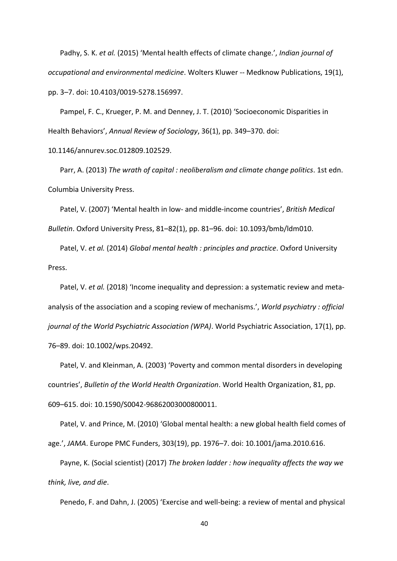Padhy, S. K. *et al.* (2015) 'Mental health effects of climate change.', *Indian journal of occupational and environmental medicine*. Wolters Kluwer -- Medknow Publications, 19(1), pp. 3–7. doi: 10.4103/0019-5278.156997.

Pampel, F. C., Krueger, P. M. and Denney, J. T. (2010) 'Socioeconomic Disparities in Health Behaviors', *Annual Review of Sociology*, 36(1), pp. 349–370. doi:

10.1146/annurev.soc.012809.102529.

Parr, A. (2013) *The wrath of capital : neoliberalism and climate change politics*. 1st edn. Columbia University Press.

Patel, V. (2007) 'Mental health in low- and middle-income countries', *British Medical Bulletin*. Oxford University Press, 81–82(1), pp. 81–96. doi: 10.1093/bmb/ldm010.

Patel, V. *et al.* (2014) *Global mental health : principles and practice*. Oxford University Press.

Patel, V. *et al.* (2018) 'Income inequality and depression: a systematic review and metaanalysis of the association and a scoping review of mechanisms.', *World psychiatry : official journal of the World Psychiatric Association (WPA)*. World Psychiatric Association, 17(1), pp. 76–89. doi: 10.1002/wps.20492.

Patel, V. and Kleinman, A. (2003) 'Poverty and common mental disorders in developing countries', *Bulletin of the World Health Organization*. World Health Organization, 81, pp. 609–615. doi: 10.1590/S0042-96862003000800011.

Patel, V. and Prince, M. (2010) 'Global mental health: a new global health field comes of age.', *JAMA*. Europe PMC Funders, 303(19), pp. 1976–7. doi: 10.1001/jama.2010.616.

Payne, K. (Social scientist) (2017) *The broken ladder : how inequality affects the way we think, live, and die*.

Penedo, F. and Dahn, J. (2005) 'Exercise and well-being: a review of mental and physical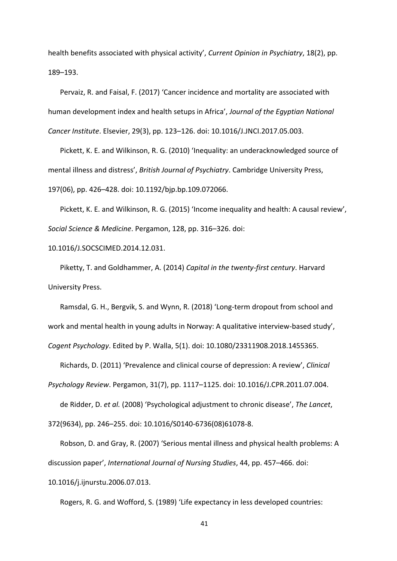health benefits associated with physical activity', *Current Opinion in Psychiatry*, 18(2), pp. 189–193.

Pervaiz, R. and Faisal, F. (2017) 'Cancer incidence and mortality are associated with human development index and health setups in Africa', *Journal of the Egyptian National Cancer Institute*. Elsevier, 29(3), pp. 123–126. doi: 10.1016/J.JNCI.2017.05.003.

Pickett, K. E. and Wilkinson, R. G. (2010) 'Inequality: an underacknowledged source of mental illness and distress', *British Journal of Psychiatry*. Cambridge University Press, 197(06), pp. 426–428. doi: 10.1192/bjp.bp.109.072066.

Pickett, K. E. and Wilkinson, R. G. (2015) 'Income inequality and health: A causal review', *Social Science & Medicine*. Pergamon, 128, pp. 316–326. doi:

## 10.1016/J.SOCSCIMED.2014.12.031.

Piketty, T. and Goldhammer, A. (2014) *Capital in the twenty-first century*. Harvard University Press.

Ramsdal, G. H., Bergvik, S. and Wynn, R. (2018) 'Long-term dropout from school and work and mental health in young adults in Norway: A qualitative interview-based study', *Cogent Psychology*. Edited by P. Walla, 5(1). doi: 10.1080/23311908.2018.1455365.

Richards, D. (2011) 'Prevalence and clinical course of depression: A review', *Clinical* 

*Psychology Review*. Pergamon, 31(7), pp. 1117–1125. doi: 10.1016/J.CPR.2011.07.004.

de Ridder, D. *et al.* (2008) 'Psychological adjustment to chronic disease', *The Lancet*,

372(9634), pp. 246–255. doi: 10.1016/S0140-6736(08)61078-8.

Robson, D. and Gray, R. (2007) 'Serious mental illness and physical health problems: A discussion paper', *International Journal of Nursing Studies*, 44, pp. 457–466. doi:

10.1016/j.ijnurstu.2006.07.013.

Rogers, R. G. and Wofford, S. (1989) 'Life expectancy in less developed countries: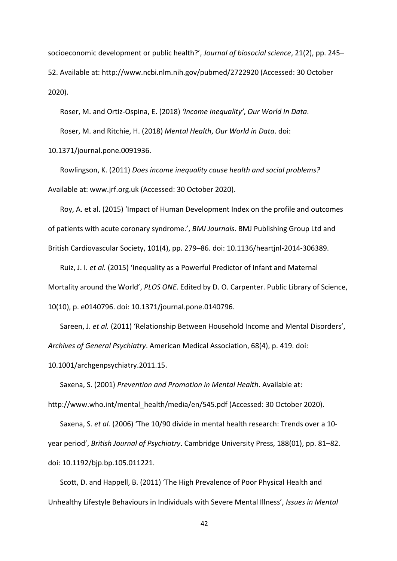socioeconomic development or public health?', *Journal of biosocial science*, 21(2), pp. 245– 52. Available at: http://www.ncbi.nlm.nih.gov/pubmed/2722920 (Accessed: 30 October 2020).

Roser, M. and Ortiz-Ospina, E. (2018) *'Income Inequality'*, *Our World In Data*. Roser, M. and Ritchie, H. (2018) *Mental Health*, *Our World in Data*. doi:

10.1371/journal.pone.0091936.

Rowlingson, K. (2011) *Does income inequality cause health and social problems?* Available at: www.jrf.org.uk (Accessed: 30 October 2020).

Roy, A. et al. (2015) 'Impact of Human Development Index on the profile and outcomes of patients with acute coronary syndrome.', *BMJ Journals*. BMJ Publishing Group Ltd and British Cardiovascular Society, 101(4), pp. 279–86. doi: 10.1136/heartjnl-2014-306389.

Ruiz, J. I. *et al.* (2015) 'Inequality as a Powerful Predictor of Infant and Maternal Mortality around the World', *PLOS ONE*. Edited by D. O. Carpenter. Public Library of Science, 10(10), p. e0140796. doi: 10.1371/journal.pone.0140796.

Sareen, J. *et al.* (2011) 'Relationship Between Household Income and Mental Disorders', *Archives of General Psychiatry*. American Medical Association, 68(4), p. 419. doi:

10.1001/archgenpsychiatry.2011.15.

Saxena, S. (2001) *Prevention and Promotion in Mental Health*. Available at: http://www.who.int/mental\_health/media/en/545.pdf (Accessed: 30 October 2020).

Saxena, S. *et al.* (2006) 'The 10/90 divide in mental health research: Trends over a 10 year period', *British Journal of Psychiatry*. Cambridge University Press, 188(01), pp. 81–82. doi: 10.1192/bjp.bp.105.011221.

Scott, D. and Happell, B. (2011) 'The High Prevalence of Poor Physical Health and Unhealthy Lifestyle Behaviours in Individuals with Severe Mental Illness', *Issues in Mental*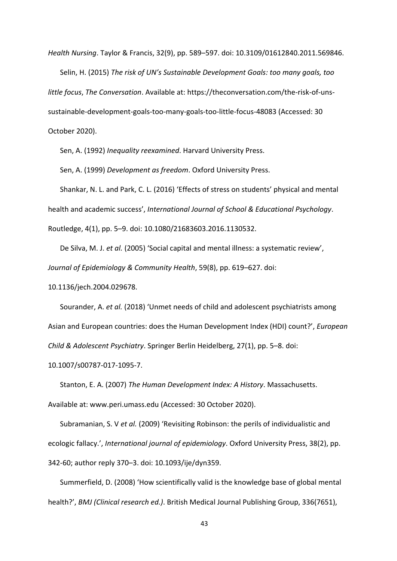*Health Nursing*. Taylor & Francis, 32(9), pp. 589–597. doi: 10.3109/01612840.2011.569846. Selin, H. (2015) *The risk of UN's Sustainable Development Goals: too many goals, too little focus*, *The Conversation*. Available at: https://theconversation.com/the-risk-of-unssustainable-development-goals-too-many-goals-too-little-focus-48083 (Accessed: 30 October 2020).

Sen, A. (1992) *Inequality reexamined*. Harvard University Press.

Sen, A. (1999) *Development as freedom*. Oxford University Press.

Shankar, N. L. and Park, C. L. (2016) 'Effects of stress on students' physical and mental health and academic success', *International Journal of School & Educational Psychology*. Routledge, 4(1), pp. 5–9. doi: 10.1080/21683603.2016.1130532.

De Silva, M. J. *et al.* (2005) 'Social capital and mental illness: a systematic review', *Journal of Epidemiology & Community Health*, 59(8), pp. 619–627. doi:

10.1136/jech.2004.029678.

Sourander, A. *et al.* (2018) 'Unmet needs of child and adolescent psychiatrists among Asian and European countries: does the Human Development Index (HDI) count?', *European Child & Adolescent Psychiatry*. Springer Berlin Heidelberg, 27(1), pp. 5–8. doi:

10.1007/s00787-017-1095-7.

Stanton, E. A. (2007) *The Human Development Index: A History*. Massachusetts.

Available at: www.peri.umass.edu (Accessed: 30 October 2020).

Subramanian, S. V *et al.* (2009) 'Revisiting Robinson: the perils of individualistic and ecologic fallacy.', *International journal of epidemiology*. Oxford University Press, 38(2), pp. 342-60; author reply 370–3. doi: 10.1093/ije/dyn359.

Summerfield, D. (2008) 'How scientifically valid is the knowledge base of global mental health?', *BMJ (Clinical research ed.)*. British Medical Journal Publishing Group, 336(7651),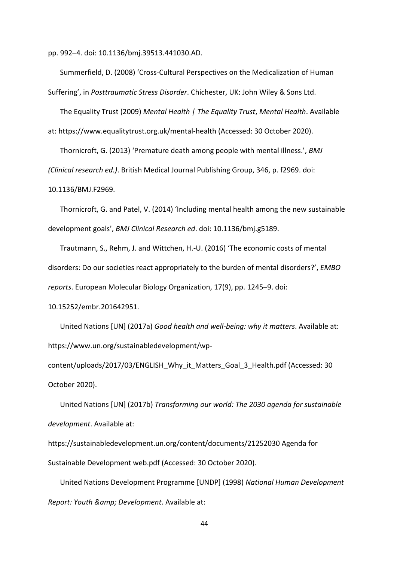pp. 992–4. doi: 10.1136/bmj.39513.441030.AD.

Summerfield, D. (2008) 'Cross-Cultural Perspectives on the Medicalization of Human Suffering', in *Posttraumatic Stress Disorder*. Chichester, UK: John Wiley & Sons Ltd.

The Equality Trust (2009) *Mental Health | The Equality Trust*, *Mental Health*. Available at: https://www.equalitytrust.org.uk/mental-health (Accessed: 30 October 2020).

Thornicroft, G. (2013) 'Premature death among people with mental illness.', *BMJ (Clinical research ed.)*. British Medical Journal Publishing Group, 346, p. f2969. doi: 10.1136/BMJ.F2969.

Thornicroft, G. and Patel, V. (2014) 'Including mental health among the new sustainable development goals', *BMJ Clinical Research ed*. doi: 10.1136/bmj.g5189.

Trautmann, S., Rehm, J. and Wittchen, H.-U. (2016) 'The economic costs of mental disorders: Do our societies react appropriately to the burden of mental disorders?', *EMBO reports*. European Molecular Biology Organization, 17(9), pp. 1245–9. doi:

10.15252/embr.201642951.

United Nations [UN] (2017a) *Good health and well-being: why it matters*. Available at: https://www.un.org/sustainabledevelopment/wp-

content/uploads/2017/03/ENGLISH\_Why\_it\_Matters\_Goal\_3\_Health.pdf (Accessed: 30 October 2020).

United Nations [UN] (2017b) *Transforming our world: The 2030 agenda for sustainable development*. Available at:

https://sustainabledevelopment.un.org/content/documents/21252030 Agenda for Sustainable Development web.pdf (Accessed: 30 October 2020).

United Nations Development Programme [UNDP] (1998) *National Human Development Report: Youth & amp; Development. Available at:*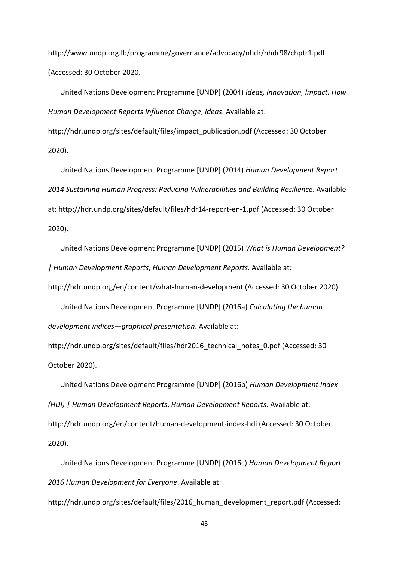http://www.undp.org.lb/programme/governance/advocacy/nhdr/nhdr98/chptr1.pdf (Accessed: 30 October 2020.

United Nations Development Programme [UNDP] (2004) *Ideas, Innovation, Impact. How Human Development Reports Influence Change*, *Ideas*. Available at: http://hdr.undp.org/sites/default/files/impact\_publication.pdf (Accessed: 30 October 2020).

United Nations Development Programme [UNDP] (2014) *Human Development Report 2014 Sustaining Human Progress: Reducing Vulnerabilities and Building Resilience*. Available at: http://hdr.undp.org/sites/default/files/hdr14-report-en-1.pdf (Accessed: 30 October 2020).

United Nations Development Programme [UNDP] (2015) *What is Human Development? | Human Development Reports*, *Human Development Reports*. Available at:

http://hdr.undp.org/en/content/what-human-development (Accessed: 30 October 2020).

United Nations Development Programme [UNDP] (2016a) *Calculating the human development indices—graphical presentation*. Available at:

http://hdr.undp.org/sites/default/files/hdr2016\_technical\_notes\_0.pdf (Accessed: 30 October 2020).

United Nations Development Programme [UNDP] (2016b) *Human Development Index (HDI) | Human Development Reports*, *Human Development Reports*. Available at: http://hdr.undp.org/en/content/human-development-index-hdi (Accessed: 30 October 2020).

United Nations Development Programme [UNDP] (2016c) *Human Development Report 2016 Human Development for Everyone*. Available at:

http://hdr.undp.org/sites/default/files/2016 human development report.pdf (Accessed: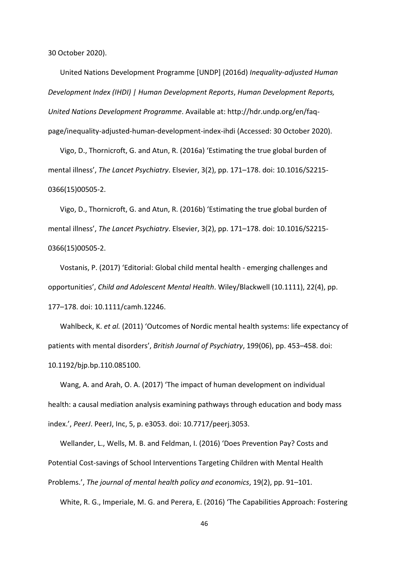30 October 2020).

United Nations Development Programme [UNDP] (2016d) *Inequality-adjusted Human Development Index (IHDI) | Human Development Reports*, *Human Development Reports, United Nations Development Programme*. Available at: http://hdr.undp.org/en/faqpage/inequality-adjusted-human-development-index-ihdi (Accessed: 30 October 2020).

Vigo, D., Thornicroft, G. and Atun, R. (2016a) 'Estimating the true global burden of mental illness', *The Lancet Psychiatry*. Elsevier, 3(2), pp. 171–178. doi: 10.1016/S2215- 0366(15)00505-2.

Vigo, D., Thornicroft, G. and Atun, R. (2016b) 'Estimating the true global burden of mental illness', *The Lancet Psychiatry*. Elsevier, 3(2), pp. 171–178. doi: 10.1016/S2215- 0366(15)00505-2.

Vostanis, P. (2017) 'Editorial: Global child mental health - emerging challenges and opportunities', *Child and Adolescent Mental Health*. Wiley/Blackwell (10.1111), 22(4), pp. 177–178. doi: 10.1111/camh.12246.

Wahlbeck, K. *et al.* (2011) 'Outcomes of Nordic mental health systems: life expectancy of patients with mental disorders', *British Journal of Psychiatry*, 199(06), pp. 453–458. doi: 10.1192/bjp.bp.110.085100.

Wang, A. and Arah, O. A. (2017) 'The impact of human development on individual health: a causal mediation analysis examining pathways through education and body mass index.', *PeerJ*. PeerJ, Inc, 5, p. e3053. doi: 10.7717/peerj.3053.

Wellander, L., Wells, M. B. and Feldman, I. (2016) 'Does Prevention Pay? Costs and Potential Cost-savings of School Interventions Targeting Children with Mental Health Problems.', *The journal of mental health policy and economics*, 19(2), pp. 91–101.

White, R. G., Imperiale, M. G. and Perera, E. (2016) 'The Capabilities Approach: Fostering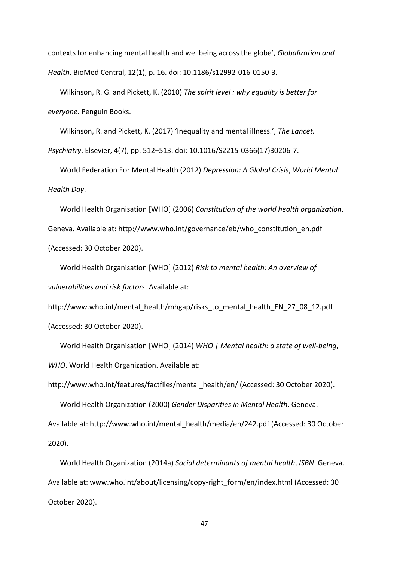contexts for enhancing mental health and wellbeing across the globe', *Globalization and Health*. BioMed Central, 12(1), p. 16. doi: 10.1186/s12992-016-0150-3.

Wilkinson, R. G. and Pickett, K. (2010) *The spirit level : why equality is better for everyone*. Penguin Books.

Wilkinson, R. and Pickett, K. (2017) 'Inequality and mental illness.', *The Lancet.* 

*Psychiatry*. Elsevier, 4(7), pp. 512–513. doi: 10.1016/S2215-0366(17)30206-7.

World Federation For Mental Health (2012) *Depression: A Global Crisis*, *World Mental Health Day*.

World Health Organisation [WHO] (2006) *Constitution of the world health organization*. Geneva. Available at: http://www.who.int/governance/eb/who\_constitution\_en.pdf (Accessed: 30 October 2020).

World Health Organisation [WHO] (2012) *Risk to mental health: An overview of vulnerabilities and risk factors*. Available at:

http://www.who.int/mental\_health/mhgap/risks\_to\_mental\_health\_EN\_27\_08\_12.pdf (Accessed: 30 October 2020).

World Health Organisation [WHO] (2014) *WHO | Mental health: a state of well-being*, *WHO*. World Health Organization. Available at:

http://www.who.int/features/factfiles/mental\_health/en/ (Accessed: 30 October 2020).

World Health Organization (2000) *Gender Disparities in Mental Health*. Geneva. Available at: http://www.who.int/mental\_health/media/en/242.pdf (Accessed: 30 October 2020).

World Health Organization (2014a) *Social determinants of mental health*, *ISBN*. Geneva. Available at: www.who.int/about/licensing/copy-right\_form/en/index.html (Accessed: 30 October 2020).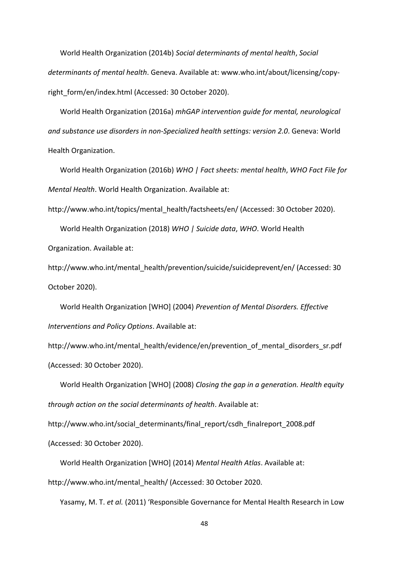World Health Organization (2014b) *Social determinants of mental health*, *Social determinants of mental health*. Geneva. Available at: www.who.int/about/licensing/copyright\_form/en/index.html (Accessed: 30 October 2020).

World Health Organization (2016a) *mhGAP intervention guide for mental, neurological and substance use disorders in non-Specialized health settings: version 2.0*. Geneva: World Health Organization.

World Health Organization (2016b) *WHO | Fact sheets: mental health*, *WHO Fact File for Mental Health*. World Health Organization. Available at:

http://www.who.int/topics/mental\_health/factsheets/en/ (Accessed: 30 October 2020).

World Health Organization (2018) *WHO | Suicide data*, *WHO*. World Health Organization. Available at:

http://www.who.int/mental\_health/prevention/suicide/suicideprevent/en/ (Accessed: 30 October 2020).

World Health Organization [WHO] (2004) *Prevention of Mental Disorders. Effective Interventions and Policy Options*. Available at:

http://www.who.int/mental\_health/evidence/en/prevention\_of\_mental\_disorders\_sr.pdf (Accessed: 30 October 2020).

World Health Organization [WHO] (2008) *Closing the gap in a generation. Health equity through action on the social determinants of health*. Available at:

http://www.who.int/social\_determinants/final\_report/csdh\_finalreport\_2008.pdf (Accessed: 30 October 2020).

World Health Organization [WHO] (2014) *Mental Health Atlas*. Available at:

http://www.who.int/mental\_health/ (Accessed: 30 October 2020.

Yasamy, M. T. *et al.* (2011) 'Responsible Governance for Mental Health Research in Low